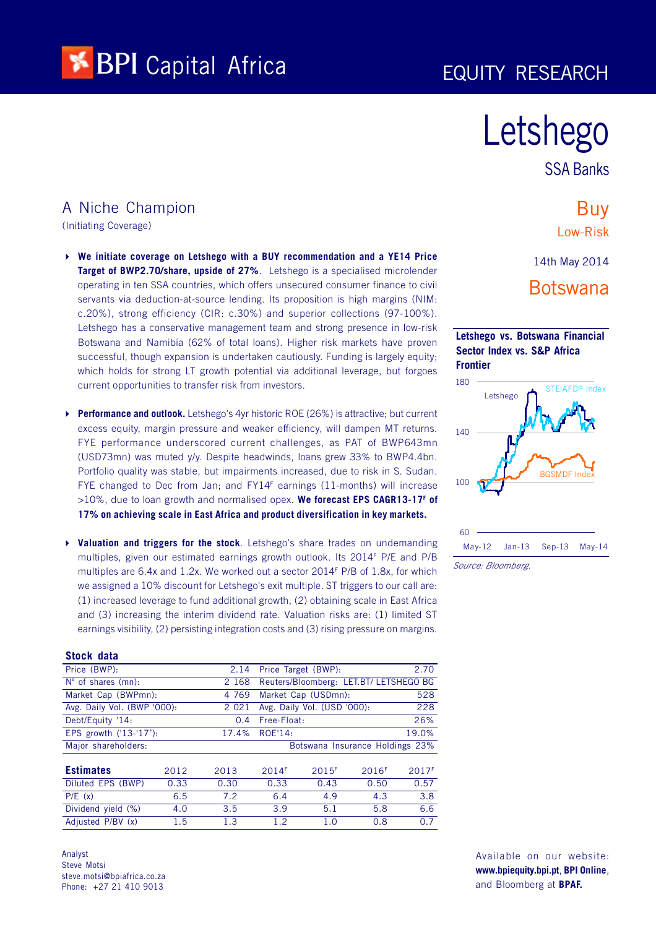

# Letshego

SSA Banks

## A Niche Champion

(Initiating Coverage)

- 4 **We initiate coverage on Letshego with a BUY recommendation and a YE14 Price Target of BWP2.70/share, upside of 27%**. Letshego is a specialised microlender operating in ten SSA countries, which offers unsecured consumer finance to civil servants via deduction-at-source lending. Its proposition is high margins (NIM: c.20%), strong efficiency (CIR: c.30%) and superior collections (97-100%). Letshego has a conservative management team and strong presence in low-risk Botswana and Namibia (62% of total loans). Higher risk markets have proven successful, though expansion is undertaken cautiously. Funding is largely equity; which holds for strong LT growth potential via additional leverage, but forgoes current opportunities to transfer risk from investors.
- 4 **Performance and outlook.** Letshego's 4yr historic ROE (26%) is attractive; but current excess equity, margin pressure and weaker efficiency, will dampen MT returns. FYE performance underscored current challenges, as PAT of BWP643mn (USD73mn) was muted y/y. Despite headwinds, loans grew 33% to BWP4.4bn. Portfolio quality was stable, but impairments increased, due to risk in S. Sudan. FYE changed to Dec from Jan; and FY14<sup>F</sup> earnings (11-months) will increase >10%, due to loan growth and normalised opex. **We forecast EPS CAGR13-17<sup>F</sup> of 17% on achieving scale in East Africa and product diversification in key markets.**
- 4 **Valuation and triggers for the stock**. Letshego's share trades on undemanding multiples, given our estimated earnings growth outlook. Its 2014<sup>F</sup> P/E and P/B multiples are 6.4x and 1.2x. We worked out a sector 2014<sup>F</sup> P/B of 1.8x, for which we assigned a 10% discount for Letshego's exit multiple. ST triggers to our call are: (1) increased leverage to fund additional growth, (2) obtaining scale in East Africa and (3) increasing the interim dividend rate. Valuation risks are: (1) limited ST earnings visibility, (2) persisting integration costs and (3) rising pressure on margins.

| Stock data                  |         |             |                                 |                             |                                        |                   |  |  |
|-----------------------------|---------|-------------|---------------------------------|-----------------------------|----------------------------------------|-------------------|--|--|
| Price (BWP):                |         | 2.14        |                                 | Price Target (BWP):         |                                        | 2.70              |  |  |
| $N^{\circ}$ of shares (mn): |         | 2 1 6 8     |                                 |                             | Reuters/Bloomberg: LET.BT/ LETSHEGO BG |                   |  |  |
| Market Cap (BWPmn):         |         | 4 7 6 9     |                                 | Market Cap (USDmn):         |                                        | 528               |  |  |
| Avg. Daily Vol. (BWP '000): |         | 2 0 2 1     |                                 | Avg. Daily Vol. (USD '000): |                                        | 228               |  |  |
| Debt/Equity '14:            | 0.4     | Free-Float: |                                 |                             | 26%                                    |                   |  |  |
| EPS growth $('13-'17F)$ :   | ROE'14: |             |                                 | 19.0%                       |                                        |                   |  |  |
| Major shareholders:         |         |             | Botswana Insurance Holdings 23% |                             |                                        |                   |  |  |
|                             |         |             |                                 |                             |                                        |                   |  |  |
| <b>Estimates</b>            | 2012    | 2013        | 2014F                           | 2015F                       | 2016 <sup>F</sup>                      | 2017 <sup>F</sup> |  |  |
| Diluted EPS (BWP)           | 0.33    | 0.30        | 0.33                            | 0.43                        | 0.50                                   | 0.57              |  |  |
| P/E(x)                      | 6.5     | 7.2         | 6.4                             | 4.9                         | 4.3                                    | 3.8               |  |  |
| Dividend yield (%)          | 4.0     | 3.5         | 3.9                             | 5.1                         | 5.8                                    | 6.6               |  |  |
| Adjusted P/BV (x)           | 1.5     | 1.3         | 1.2                             | 1.0                         | 0.8                                    | 0.7               |  |  |

Analyst Steve Motsi steve.motsi@bpiafrica.co.za Phone: +27 21 410 9013

## Buy Low-Risk

14th May 2014

## Botswana





Source: Bloomberg.

Available on our website: **www.bpiequity.bpi.pt**, **BPI Online**, and Bloomberg at **BPAF.**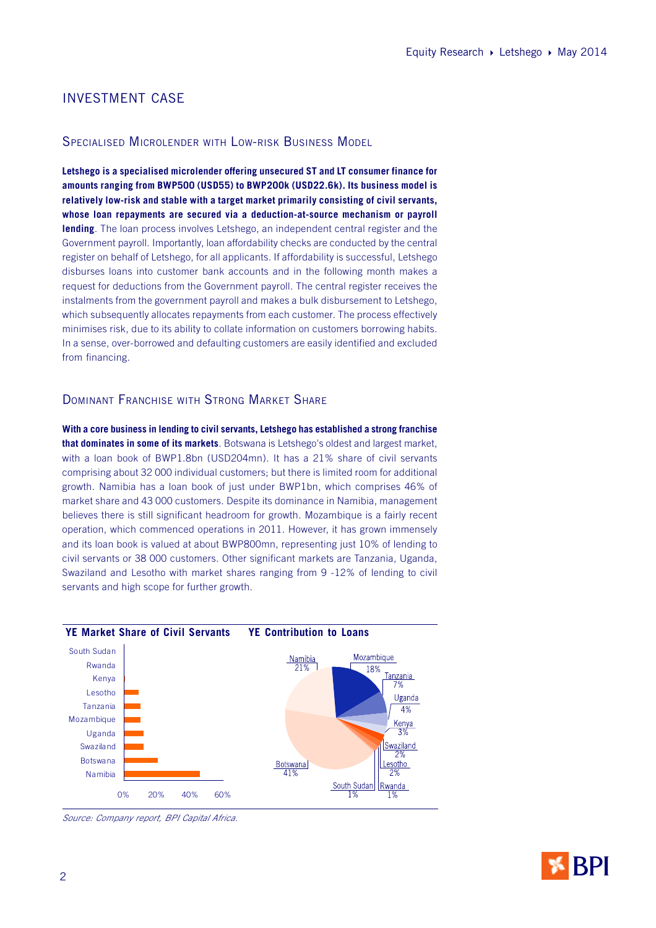## INVESTMENT CASE

#### SPECIALISED MICROLENDER WITH LOW-RISK BUSINESS MODEL

**Letshego is a specialised microlender offering unsecured ST and LT consumer finance for amounts ranging from BWP500 (USD55) to BWP200k (USD22.6k). Its business model is relatively low-risk and stable with a target market primarily consisting of civil servants, whose loan repayments are secured via a deduction-at-source mechanism or payroll lending**. The loan process involves Letshego, an independent central register and the Government payroll. Importantly, loan affordability checks are conducted by the central register on behalf of Letshego, for all applicants. If affordability is successful, Letshego disburses loans into customer bank accounts and in the following month makes a request for deductions from the Government payroll. The central register receives the instalments from the government payroll and makes a bulk disbursement to Letshego, which subsequently allocates repayments from each customer. The process effectively minimises risk, due to its ability to collate information on customers borrowing habits. In a sense, over-borrowed and defaulting customers are easily identified and excluded from financing.

## DOMINANT FRANCHISE WITH STRONG MARKET SHARE

**With a core business in lending to civil servants, Letshego has established a strong franchise that dominates in some of its markets**. Botswana is Letshego's oldest and largest market, with a loan book of BWP1.8bn (USD204mn). It has a 21% share of civil servants comprising about 32 000 individual customers; but there is limited room for additional growth. Namibia has a loan book of just under BWP1bn, which comprises 46% of market share and 43 000 customers. Despite its dominance in Namibia, management believes there is still significant headroom for growth. Mozambique is a fairly recent operation, which commenced operations in 2011. However, it has grown immensely and its loan book is valued at about BWP800mn, representing just 10% of lending to civil servants or 38 000 customers. Other significant markets are Tanzania, Uganda, Swaziland and Lesotho with market shares ranging from 9 -12% of lending to civil servants and high scope for further growth.



Source: Company report, BPI Capital Africa.

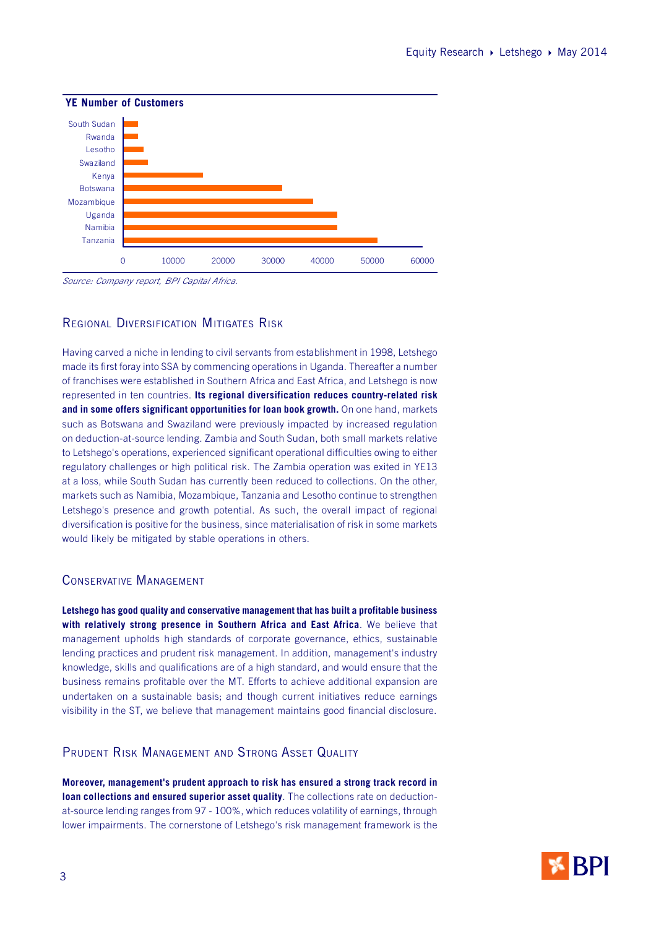

Source: Company report, BPI Capital Africa.

## REGIONAL DIVERSIFICATION MITIGATES RISK

Having carved a niche in lending to civil servants from establishment in 1998, Letshego made its first foray into SSA by commencing operations in Uganda. Thereafter a number of franchises were established in Southern Africa and East Africa, and Letshego is now represented in ten countries. **Its regional diversification reduces country-related risk and in some offers significant opportunities for loan book growth.** On one hand, markets such as Botswana and Swaziland were previously impacted by increased regulation on deduction-at-source lending. Zambia and South Sudan, both small markets relative to Letshego's operations, experienced significant operational difficulties owing to either regulatory challenges or high political risk. The Zambia operation was exited in YE13 at a loss, while South Sudan has currently been reduced to collections. On the other, markets such as Namibia, Mozambique, Tanzania and Lesotho continue to strengthen Letshego's presence and growth potential. As such, the overall impact of regional diversification is positive for the business, since materialisation of risk in some markets would likely be mitigated by stable operations in others.

#### CONSERVATIVE MANAGEMENT

**Letshego has good quality and conservative management that has built a profitable business with relatively strong presence in Southern Africa and East Africa**. We believe that management upholds high standards of corporate governance, ethics, sustainable lending practices and prudent risk management. In addition, management's industry knowledge, skills and qualifications are of a high standard, and would ensure that the business remains profitable over the MT. Efforts to achieve additional expansion are undertaken on a sustainable basis; and though current initiatives reduce earnings visibility in the ST, we believe that management maintains good financial disclosure.

## PRUDENT RISK MANAGEMENT AND STRONG ASSET QUALITY

**Moreover, management's prudent approach to risk has ensured a strong track record in loan collections and ensured superior asset quality**. The collections rate on deductionat-source lending ranges from 97 - 100%, which reduces volatility of earnings, through lower impairments. The cornerstone of Letshego's risk management framework is the

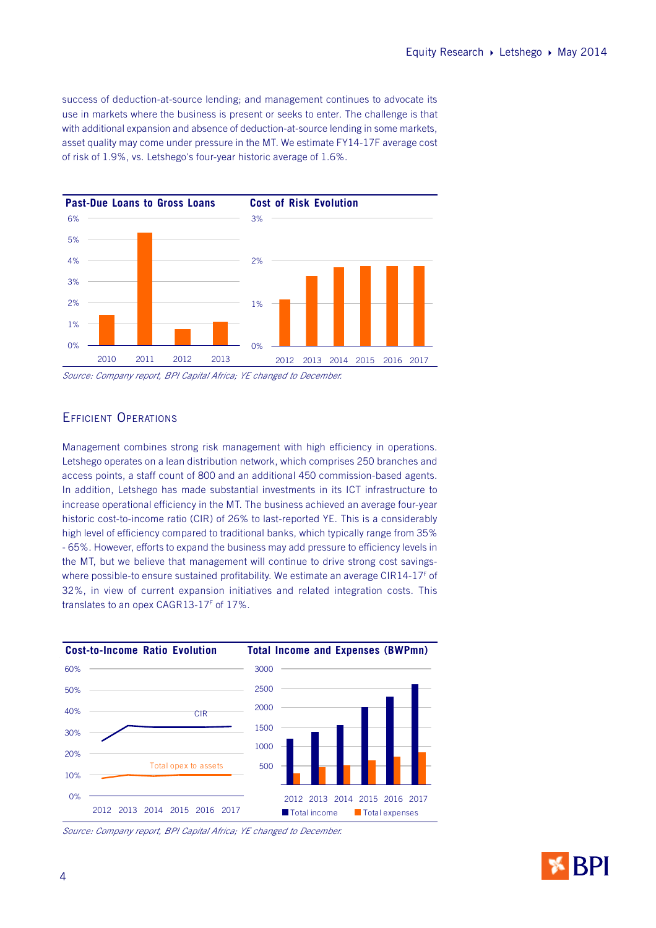success of deduction-at-source lending; and management continues to advocate its use in markets where the business is present or seeks to enter. The challenge is that with additional expansion and absence of deduction-at-source lending in some markets, asset quality may come under pressure in the MT. We estimate FY14-17F average cost of risk of 1.9%, vs. Letshego's four-year historic average of 1.6%.



Source: Company report, BPI Capital Africa; YE changed to December.

## EFFICIENT OPERATIONS

Management combines strong risk management with high efficiency in operations. Letshego operates on a lean distribution network, which comprises 250 branches and access points, a staff count of 800 and an additional 450 commission-based agents. In addition, Letshego has made substantial investments in its ICT infrastructure to increase operational efficiency in the MT. The business achieved an average four-year historic cost-to-income ratio (CIR) of 26% to last-reported YE. This is a considerably high level of efficiency compared to traditional banks, which typically range from 35% - 65%. However, efforts to expand the business may add pressure to efficiency levels in the MT, but we believe that management will continue to drive strong cost savingswhere possible-to ensure sustained profitability. We estimate an average CIR14-17 $^{\rm{r}}$  of 32%, in view of current expansion initiatives and related integration costs. This translates to an opex CAGR13-17<sup>F</sup> of 17%.



Source: Company report, BPI Capital Africa; YE changed to December.

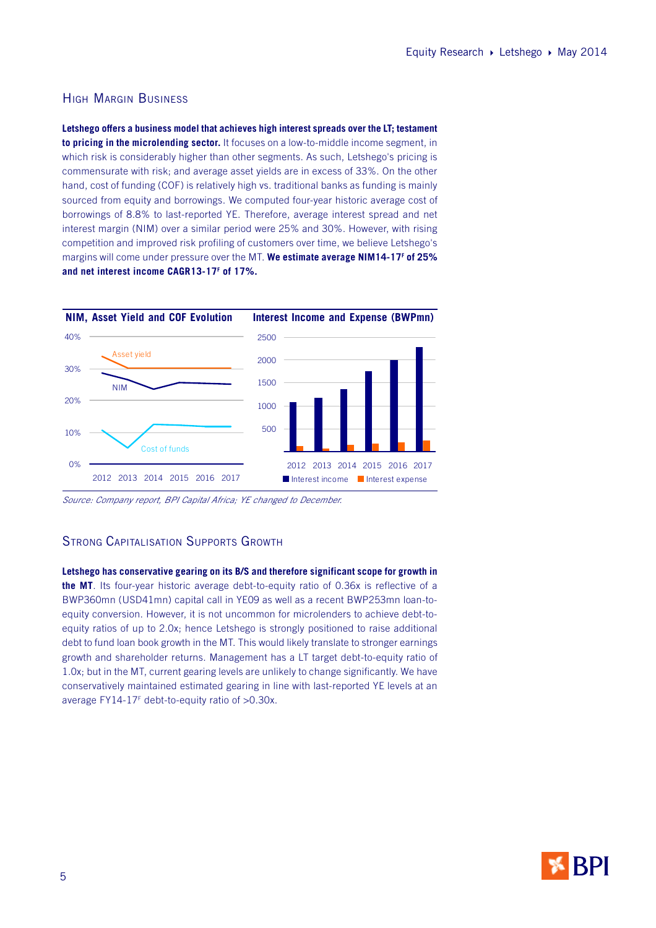## HIGH MARGIN BUSINESS

**Letshego offers a business model that achieves high interest spreads over the LT; testament to pricing in the microlending sector.** It focuses on a low-to-middle income segment, in which risk is considerably higher than other segments. As such, Letshego's pricing is commensurate with risk; and average asset yields are in excess of 33%. On the other hand, cost of funding (COF) is relatively high vs. traditional banks as funding is mainly sourced from equity and borrowings. We computed four-year historic average cost of borrowings of 8.8% to last-reported YE. Therefore, average interest spread and net interest margin (NIM) over a similar period were 25% and 30%. However, with rising competition and improved risk profiling of customers over time, we believe Letshego's margins will come under pressure over the MT. **We estimate average NIM14-17<sup>F</sup> of 25% and net interest income CAGR13-17<sup>F</sup> of 17%.**



Source: Company report, BPI Capital Africa; YE changed to December.

#### STRONG CAPITALISATION SUPPORTS GROWTH

**Letshego has conservative gearing on its B/S and therefore significant scope for growth in the MT**. Its four-year historic average debt-to-equity ratio of 0.36x is reflective of a BWP360mn (USD41mn) capital call in YE09 as well as a recent BWP253mn loan-toequity conversion. However, it is not uncommon for microlenders to achieve debt-toequity ratios of up to 2.0x; hence Letshego is strongly positioned to raise additional debt to fund loan book growth in the MT. This would likely translate to stronger earnings growth and shareholder returns. Management has a LT target debt-to-equity ratio of 1.0x; but in the MT, current gearing levels are unlikely to change significantly. We have conservatively maintained estimated gearing in line with last-reported YE levels at an average FY14-17<sup>F</sup> debt-to-equity ratio of >0.30x.

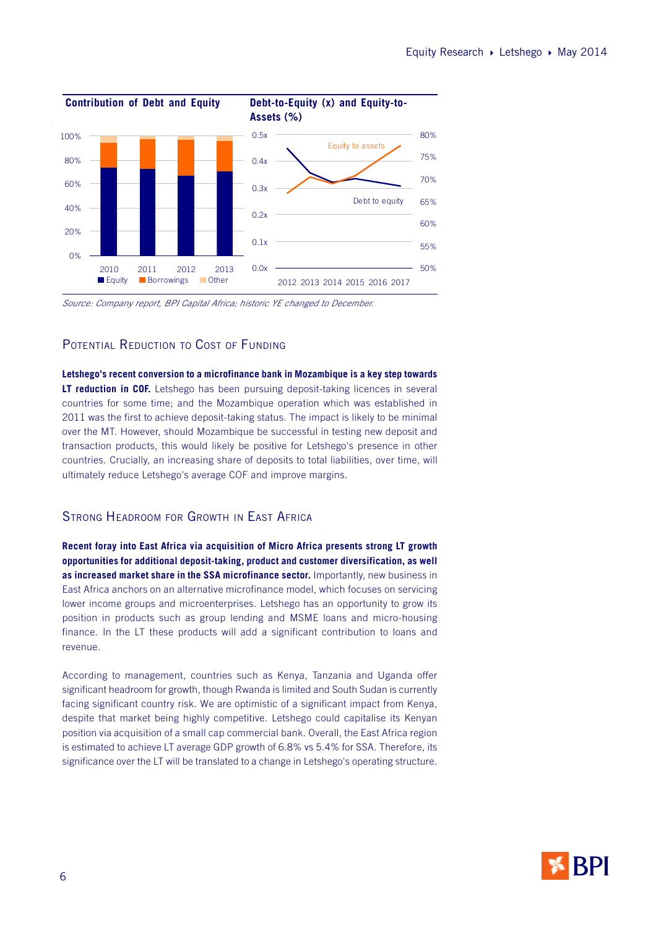

Source: Company report, BPI Capital Africa; historic YE changed to December.

### POTENTIAL REDUCTION TO COST OF FUNDING

**Letshego's recent conversion to a microfinance bank in Mozambique is a key step towards LT reduction in COF.** Letshego has been pursuing deposit-taking licences in several countries for some time; and the Mozambique operation which was established in 2011 was the first to achieve deposit-taking status. The impact is likely to be minimal over the MT. However, should Mozambique be successful in testing new deposit and transaction products, this would likely be positive for Letshego's presence in other countries. Crucially, an increasing share of deposits to total liabilities, over time, will ultimately reduce Letshego's average COF and improve margins.

## STRONG HEADROOM FOR GROWTH IN EAST AFRICA

**Recent foray into East Africa via acquisition of Micro Africa presents strong LT growth opportunities for additional deposit-taking, product and customer diversification, as well as increased market share in the SSA microfinance sector.** Importantly, new business in East Africa anchors on an alternative microfinance model, which focuses on servicing lower income groups and microenterprises. Letshego has an opportunity to grow its position in products such as group lending and MSME loans and micro-housing finance. In the LT these products will add a significant contribution to loans and revenue.

According to management, countries such as Kenya, Tanzania and Uganda offer significant headroom for growth, though Rwanda is limited and South Sudan is currently facing significant country risk. We are optimistic of a significant impact from Kenya, despite that market being highly competitive. Letshego could capitalise its Kenyan position via acquisition of a small cap commercial bank. Overall, the East Africa region is estimated to achieve LT average GDP growth of 6.8% vs 5.4% for SSA. Therefore, its significance over the LT will be translated to a change in Letshego's operating structure.

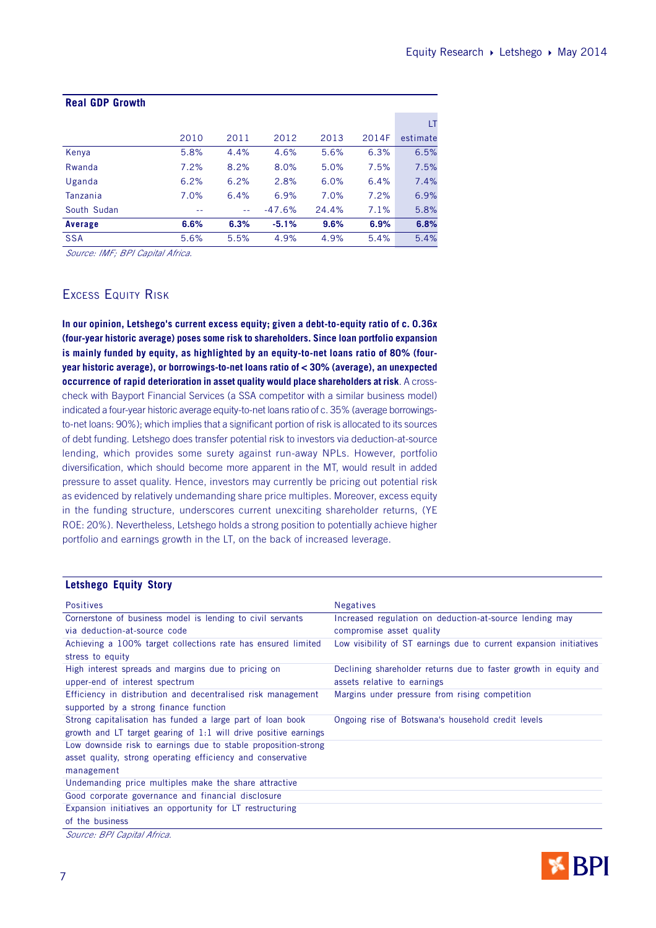| <b>Real GDP Growth</b> |      |      |          |       |       |          |
|------------------------|------|------|----------|-------|-------|----------|
|                        |      |      |          |       |       | LT       |
|                        | 2010 | 2011 | 2012     | 2013  | 2014F | estimate |
| Kenya                  | 5.8% | 4.4% | 4.6%     | 5.6%  | 6.3%  | 6.5%     |
| Rwanda                 | 7.2% | 8.2% | 8.0%     | 5.0%  | 7.5%  | 7.5%     |
| Uganda                 | 6.2% | 6.2% | 2.8%     | 6.0%  | 6.4%  | 7.4%     |
| Tanzania               | 7.0% | 6.4% | 6.9%     | 7.0%  | 7.2%  | 6.9%     |
| South Sudan            |      | $-$  | $-47.6%$ | 24.4% | 7.1%  | 5.8%     |
| Average                | 6.6% | 6.3% | $-5.1%$  | 9.6%  | 6.9%  | 6.8%     |
| <b>SSA</b>             | 5.6% | 5.5% | 4.9%     | 4.9%  | 5.4%  | 5.4%     |
|                        |      |      |          |       |       |          |

Source: IMF; BPI Capital Africa.

## EXCESS EQUITY RISK

**In our opinion, Letshego's current excess equity; given a debt-to-equity ratio of c. 0.36x (four-year historic average) poses some risk to shareholders. Since loan portfolio expansion is mainly funded by equity, as highlighted by an equity-to-net loans ratio of 80% (fouryear historic average), or borrowings-to-net loans ratio of < 30% (average), an unexpected occurrence of rapid deterioration in asset quality would place shareholders at risk**. A crosscheck with Bayport Financial Services (a SSA competitor with a similar business model) indicated a four-year historic average equity-to-net loans ratio of c. 35% (average borrowingsto-net loans: 90%); which implies that a significant portion of risk is allocated to its sources of debt funding. Letshego does transfer potential risk to investors via deduction-at-source lending, which provides some surety against run-away NPLs. However, portfolio diversification, which should become more apparent in the MT, would result in added pressure to asset quality. Hence, investors may currently be pricing out potential risk as evidenced by relatively undemanding share price multiples. Moreover, excess equity in the funding structure, underscores current unexciting shareholder returns, (YE ROE: 20%). Nevertheless, Letshego holds a strong position to potentially achieve higher portfolio and earnings growth in the LT, on the back of increased leverage.

#### **Letshego Equity Story**

| <b>Positives</b>                                                                 | <b>Negatives</b>                                                   |
|----------------------------------------------------------------------------------|--------------------------------------------------------------------|
| Cornerstone of business model is lending to civil servants                       | Increased regulation on deduction-at-source lending may            |
| via deduction-at-source code                                                     | compromise asset quality                                           |
| Achieving a 100% target collections rate has ensured limited<br>stress to equity | Low visibility of ST earnings due to current expansion initiatives |
| High interest spreads and margins due to pricing on                              | Declining shareholder returns due to faster growth in equity and   |
| upper-end of interest spectrum                                                   | assets relative to earnings                                        |
| Efficiency in distribution and decentralised risk management                     | Margins under pressure from rising competition                     |
| supported by a strong finance function                                           |                                                                    |
| Strong capitalisation has funded a large part of loan book                       | Ongoing rise of Botswana's household credit levels                 |
| growth and LT target gearing of 1:1 will drive positive earnings                 |                                                                    |
| Low downside risk to earnings due to stable proposition-strong                   |                                                                    |
| asset quality, strong operating efficiency and conservative                      |                                                                    |
| management                                                                       |                                                                    |
| Undemanding price multiples make the share attractive                            |                                                                    |
| Good corporate governance and financial disclosure                               |                                                                    |
| Expansion initiatives an opportunity for LT restructuring                        |                                                                    |
| of the business                                                                  |                                                                    |
| Source: BPI Capital Africa.                                                      |                                                                    |

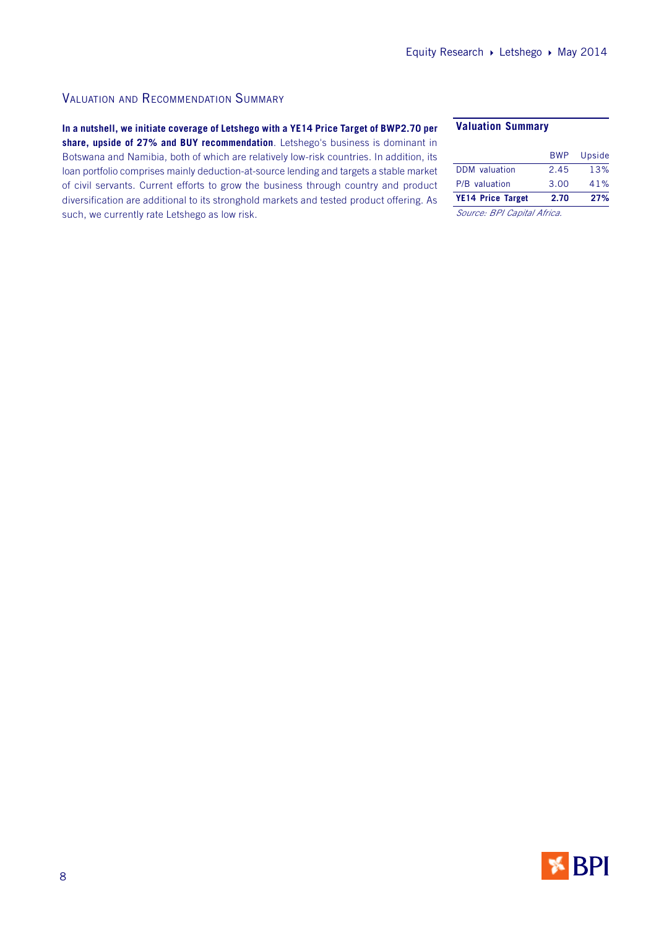## VALUATION AND RECOMMENDATION SUMMARY

**In a nutshell, we initiate coverage of Letshego with a YE14 Price Target of BWP2.70 per share, upside of 27% and BUY recommendation**. Letshego's business is dominant in Botswana and Namibia, both of which are relatively low-risk countries. In addition, its loan portfolio comprises mainly deduction-at-source lending and targets a stable market of civil servants. Current efforts to grow the business through country and product diversification are additional to its stronghold markets and tested product offering. As such, we currently rate Letshego as low risk.

#### **Valuation Summary**

| <b>YE14 Price Target</b> | 2.70       | 27%    |
|--------------------------|------------|--------|
| P/B valuation            | 3.00       | 41%    |
| <b>DDM</b> valuation     | 2.45       | 13%    |
|                          | <b>BWP</b> | Upside |
|                          |            |        |

Source: BPI Capital Africa.

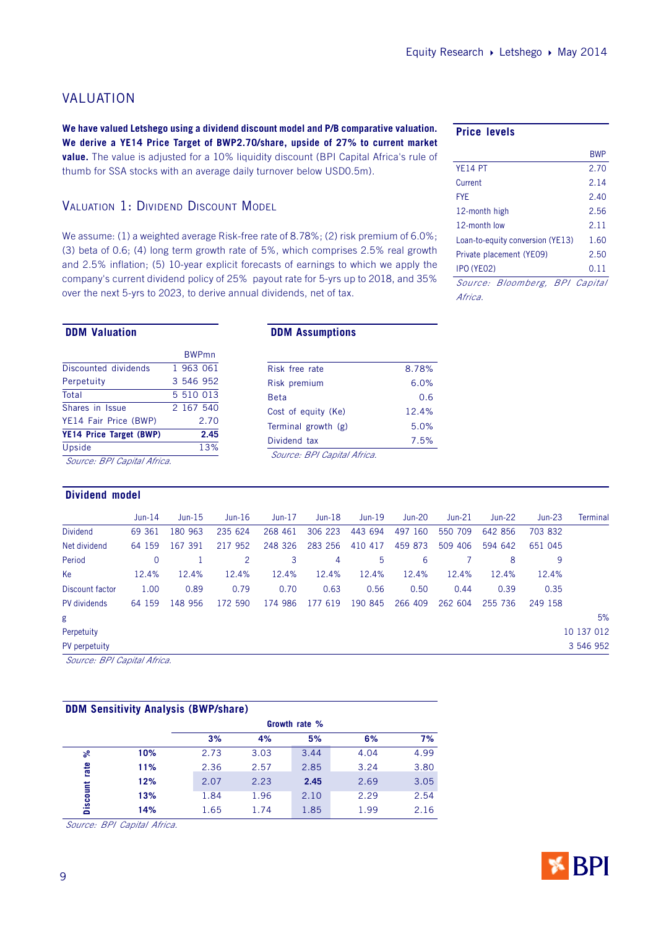## VALUATION

**We have valued Letshego using a dividend discount model and P/B comparative valuation. We derive a YE14 Price Target of BWP2.70/share, upside of 27% to current market value.** The value is adjusted for a 10% liquidity discount (BPI Capital Africa's rule of thumb for SSA stocks with an average daily turnover below USD0.5m).

## VALUATION 1: DIVIDEND DISCOUNT MODEL

We assume: (1) a weighted average Risk-free rate of 8.78%; (2) risk premium of 6.0%; (3) beta of 0.6; (4) long term growth rate of 5%, which comprises 2.5% real growth and 2.5% inflation; (5) 10-year explicit forecasts of earnings to which we apply the company's current dividend policy of 25% payout rate for 5-yrs up to 2018, and 35% over the next 5-yrs to 2023, to derive annual dividends, net of tax.

#### **DDM Valuation**

|                             |  | <b>BWPmn</b> |  |  |
|-----------------------------|--|--------------|--|--|
| Discounted dividends        |  | 1 963 061    |  |  |
| Perpetuity                  |  | 3 546 952    |  |  |
| Total                       |  | 5 510 013    |  |  |
| Shares in Issue             |  | 2 167 540    |  |  |
| YE14 Fair Price (BWP)       |  | 2.70         |  |  |
| YE14 Price Target (BWP)     |  | 2.45         |  |  |
| Upside                      |  | 13%          |  |  |
| Source: BPI Capital Africa. |  |              |  |  |

## **Dividend model**

#### **DDM Assumptions**

| Risk free rate              | 8.78% |
|-----------------------------|-------|
| Risk premium                | 6.0%  |
| <b>Beta</b>                 | 0.6   |
| Cost of equity (Ke)         | 12.4% |
| Terminal growth (g)         | 5.0%  |
| Dividend tax                | 7.5%  |
| Source: BPI Capital Africa. |       |
|                             |       |

#### **Price levels**

|                                  | <b>RWP</b> |
|----------------------------------|------------|
| YF <sub>14</sub> PT              | 2.70       |
| Current                          | 2.14       |
| <b>FYF</b>                       | 2.40       |
| 12-month high                    | 2.56       |
| 12-month low                     | 2.11       |
| Loan-to-equity conversion (YE13) | 1.60       |
| Private placement (YE09)         | 2.50       |
| IPO (YEO2)                       | 0.11       |
| Source: Bloomberg, BPI Capital   |            |
| Africa.                          |            |

|                 | $Jun-14$ | $Jun-15$ | $Jun-16$ | Jun-17  | $Jun-18$ | $Jun-19$ | $Jun-20$   | $Jun-21$ | $Jun-22$ | $Jun-23$ | Terminal   |
|-----------------|----------|----------|----------|---------|----------|----------|------------|----------|----------|----------|------------|
| <b>Dividend</b> | 69 361   | 180 963  | 235 624  | 268 461 | 306 223  | 443 694  | 160<br>497 | 550 709  | 642 856  | 703 832  |            |
| Net dividend    | 64 159   | 167 391  | 217 952  | 248 326 | 283 256  | 410 417  | 459 873    | 509 406  | 594 642  | 651 045  |            |
| Period          | 0        |          |          | 3       | 4        | 5        | 6          |          | 8        | 9        |            |
| Ke              | 12.4%    | 12.4%    | 12.4%    | 12.4%   | 12.4%    | 12.4%    | 12.4%      | 12.4%    | 12.4%    | 12.4%    |            |
| Discount factor | 1.00     | 0.89     | 0.79     | 0.70    | 0.63     | 0.56     | 0.50       | 0.44     | 0.39     | 0.35     |            |
| PV dividends    | 64 159   | 148 956  | 172 590  | 174 986 | 177 619  | 190 845  | 266 409    | 262 604  | 255 736  | 249 158  |            |
|                 |          |          |          |         |          |          |            |          |          |          | 5%         |
| Perpetuity      |          |          |          |         |          |          |            |          |          |          | 10 137 012 |
| PV perpetuity   |          |          |          |         |          |          |            |          |          |          | 3 546 952  |
|                 |          |          |          |         |          |          |            |          |          |          |            |

Source: BPI Capital Africa.

#### **DDM Sensitivity Analysis (BWP/share)**

|          |     | Growth rate % |      |      |      |      |  |  |  |
|----------|-----|---------------|------|------|------|------|--|--|--|
|          |     | 3%            | 4%   | 5%   | 6%   | 7%   |  |  |  |
| ೫        | 10% | 2.73          | 3.03 | 3.44 | 4.04 | 4.99 |  |  |  |
| rate     | 11% | 2.36          | 2.57 | 2.85 | 3.24 | 3.80 |  |  |  |
|          | 12% | 2.07          | 2.23 | 2.45 | 2.69 | 3.05 |  |  |  |
| Discount | 13% | 1.84          | 1.96 | 2.10 | 2.29 | 2.54 |  |  |  |
|          | 14% | 1.65          | 1.74 | 1.85 | 1.99 | 2.16 |  |  |  |

Source: BPI Capital Africa.

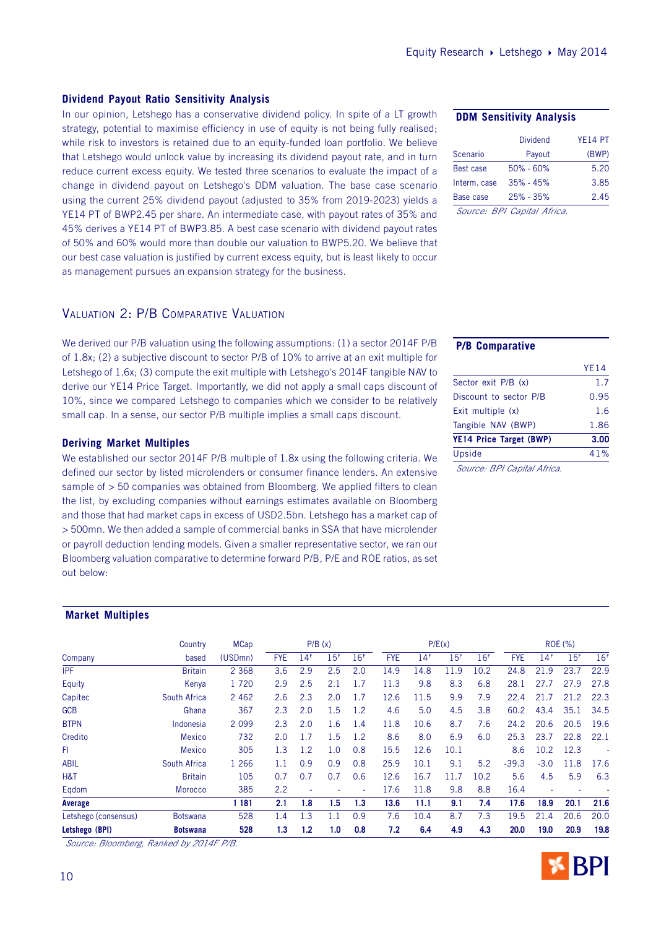## **Dividend Payout Ratio Sensitivity Analysis**

In our opinion, Letshego has a conservative dividend policy. In spite of a LT growth strategy, potential to maximise efficiency in use of equity is not being fully realised; while risk to investors is retained due to an equity-funded loan portfolio. We believe that Letshego would unlock value by increasing its dividend payout rate, and in turn reduce current excess equity. We tested three scenarios to evaluate the impact of a change in dividend payout on Letshego's DDM valuation. The base case scenario using the current 25% dividend payout (adjusted to 35% from 2019-2023) yields a YE14 PT of BWP2.45 per share. An intermediate case, with payout rates of 35% and 45% derives a YE14 PT of BWP3.85. A best case scenario with dividend payout rates of 50% and 60% would more than double our valuation to BWP5.20. We believe that our best case valuation is justified by current excess equity, but is least likely to occur as management pursues an expansion strategy for the business.

#### **DDM Sensitivity Analysis**

|              | <b>Dividend</b>             | YF14 PT |
|--------------|-----------------------------|---------|
| Scenario     | Payout                      | (BWP)   |
| Best case    | $50\% - 60\%$               | 5.20    |
| Interm, case | $35\% - 45\%$               | 3.85    |
| Base case    | $25\% - 35\%$               | 2.45    |
|              | Source: BPI Capital Africa. |         |

## VALUATION 2: P/B COMPARATIVE VALUATION

We derived our P/B valuation using the following assumptions: (1) a sector 2014F P/B of 1.8x; (2) a subjective discount to sector P/B of 10% to arrive at an exit multiple for Letshego of 1.6x; (3) compute the exit multiple with Letshego's 2014F tangible NAV to derive our YE14 Price Target. Importantly, we did not apply a small caps discount of 10%, since we compared Letshego to companies which we consider to be relatively small cap. In a sense, our sector P/B multiple implies a small caps discount.

#### **Deriving Market Multiples**

We established our sector 2014F P/B multiple of 1.8x using the following criteria. We defined our sector by listed microlenders or consumer finance lenders. An extensive sample of  $> 50$  companies was obtained from Bloomberg. We applied filters to clean the list, by excluding companies without earnings estimates available on Bloomberg and those that had market caps in excess of USD2.5bn. Letshego has a market cap of > 500mn. We then added a sample of commercial banks in SSA that have microlender or payroll deduction lending models. Given a smaller representative sector, we ran our Bloomberg valuation comparative to determine forward P/B, P/E and ROE ratios, as set out below:

## **P/B Comparative**

|                                | YF14 |
|--------------------------------|------|
| Sector exit P/B (x)            | 1.7  |
| Discount to sector P/B         | 0.95 |
| Exit multiple (x)              | 1.6  |
| Tangible NAV (BWP)             | 1.86 |
| <b>YE14 Price Target (BWP)</b> | 3.00 |
| Upside                         | 41%  |
| Cauron, DDI Capital Africa     |      |

Source: BPI Capital Africa.

#### **Market Multiples**

|                      | Country         | <b>MCap</b> | P/B(x)     |                 |                 | P/E(x)          |            |                 |                 | ROE (%)         |            |                 |                          |                 |
|----------------------|-----------------|-------------|------------|-----------------|-----------------|-----------------|------------|-----------------|-----------------|-----------------|------------|-----------------|--------------------------|-----------------|
| Company              | based           | (USDmn)     | <b>FYE</b> | 14 <sup>F</sup> | 15 <sup>F</sup> | 16 <sup>F</sup> | <b>FYE</b> | 14 <sup>F</sup> | 15 <sup>F</sup> | 16 <sup>F</sup> | <b>FYE</b> | 14 <sup>F</sup> | 15 <sup>F</sup>          | 16 <sup>F</sup> |
| <b>IPF</b>           | <b>Britain</b>  | 2 3 6 8     | 3.6        | 2.9             | 2.5             | 2.0             | 14.9       | 14.8            | 11.9            | 10.2            | 24.8       | 21.9            | 23.7                     | 22.9            |
| Equity               | Kenya           | 1720        | 2.9        | 2.5             | 2.1             | 1.7             | 11.3       | 9.8             | 8.3             | 6.8             | 28.1       | 27.7            | 27.9                     | 27.8            |
| Capitec              | South Africa    | 2 4 6 2     | 2.6        | 2.3             | 2.0             | 1.7             | 12.6       | 11.5            | 9.9             | 7.9             | 22.4       | 21.7            | 21.2                     | 22.3            |
| <b>GCB</b>           | Ghana           | 367         | 2.3        | 2.0             | 1.5             | 1.2             | 4.6        | 5.0             | 4.5             | 3.8             | 60.2       | 43.4            | 35.1                     | 34.5            |
| <b>BTPN</b>          | Indonesia       | 2 0 9 9     | 2.3        | 2.0             | 1.6             | 1.4             | 11.8       | 10.6            | 8.7             | 7.6             | 24.2       | 20.6            | 20.5                     | 19.6            |
| Credito              | <b>Mexico</b>   | 732         | 2.0        | 1.7             | 1.5             | 1.2             | 8.6        | 8.0             | 6.9             | 6.0             | 25.3       | 23.7            | 22.8                     | 22.1            |
| FI.                  | <b>Mexico</b>   | 305         | 1.3        | 1.2             | 1.0             | 0.8             | 15.5       | 12.6            | 10.1            |                 | 8.6        | 10.2            | 12.3                     |                 |
| <b>ABIL</b>          | South Africa    | 1 2 6 6     | 1.1        | 0.9             | 0.9             | 0.8             | 25.9       | 10.1            | 9.1             | 5.2             | $-39.3$    | $-3.0$          | 11.8                     | 17.6            |
| H&T                  | <b>Britain</b>  | 105         | 0.7        | 0.7             | 0.7             | 0.6             | 12.6       | 16.7            | 11.7            | 10.2            | 5.6        | 4.5             | 5.9                      | 6.3             |
| Eqdom                | <b>Morocco</b>  | 385         | 2.2        | $\sim$          |                 | $\sim$          | 17.6       | 11.8            | 9.8             | 8.8             | 16.4       | $\sim$          | $\overline{\phantom{a}}$ |                 |
| Average              |                 | 181         | 2.1        | 1.8             | 1.5             | 1.3             | 13.6       | 11.1            | 9.1             | 7.4             | 17.6       | 18.9            | 20.1                     | 21.6            |
| Letshego (consensus) | <b>Botswana</b> | 528         | 1.4        | 1.3             | 1.1             | 0.9             | 7.6        | 10.4            | 8.7             | 7.3             | 19.5       | 21.4            | 20.6                     | 20.0            |
| Letshego (BPI)       | <b>Botswana</b> | 528         | 1.3        | 1.2             | 1.0             | 0.8             | 7.2        | 6.4             | 4.9             | 4.3             | 20.0       | 19.0            | 20.9                     | 19.8            |

Source: Bloomberg, Ranked by 2014F P/B.

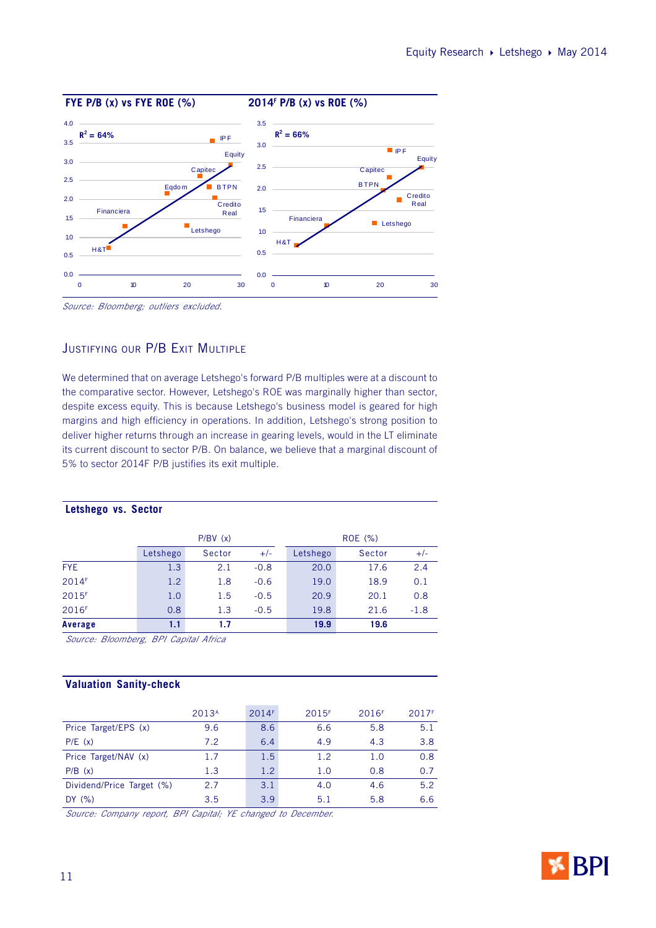

Source: Bloomberg; outliers excluded.

## JUSTIFYING OUR P/B EXIT MULTIPLE

We determined that on average Letshego's forward P/B multiples were at a discount to the comparative sector. However, Letshego's ROE was marginally higher than sector, despite excess equity. This is because Letshego's business model is geared for high margins and high efficiency in operations. In addition, Letshego's strong position to deliver higher returns through an increase in gearing levels, would in the LT eliminate its current discount to sector P/B. On balance, we believe that a marginal discount of 5% to sector 2014F P/B justifies its exit multiple.

|                   |          | P/BV(x) |        |          | ROE (%) |        |
|-------------------|----------|---------|--------|----------|---------|--------|
|                   | Letshego | Sector  | $+/-$  | Letshego | Sector  | $+/-$  |
| <b>FYE</b>        | 1.3      | 2.1     | $-0.8$ | 20.0     | 17.6    | 2.4    |
| 2014F             | 1.2      | 1.8     | $-0.6$ | 19.0     | 18.9    | 0.1    |
| 2015F             | 1.0      | 1.5     | $-0.5$ | 20.9     | 20.1    | 0.8    |
| 2016 <sup>F</sup> | 0.8      | 1.3     | $-0.5$ | 19.8     | 21.6    | $-1.8$ |
| Average           | 1.1      | 1.7     |        | 19.9     | 19.6    |        |

**Letshego vs. Sector**

Source: Bloomberg, BPI Capital Africa

### **Valuation Sanity-check**

|                           | 2013 <sup>A</sup> | 2014F            | 2015 <sup>F</sup> | 2016F | 2017 <sup>F</sup> |
|---------------------------|-------------------|------------------|-------------------|-------|-------------------|
| Price Target/EPS (x)      | 9.6               | 8.6              | 6.6               | 5.8   | 5.1               |
| P/E(x)                    | 7.2               | 6.4              | 4.9               | 4.3   | 3.8               |
| Price Target/NAV (x)      | 1.7               | 1.5              | 1.2               | 1.0   | 0.8               |
| P/B(x)                    | 1.3               | 1.2 <sub>2</sub> | 1.0               | 0.8   | 0.7               |
| Dividend/Price Target (%) | 2.7               | 3.1              | 4.0               | 4.6   | 5.2               |
| DY(%)                     | 3.5               | 3.9              | 5.1               | 5.8   | 6.6               |

Source: Company report, BPI Capital; YE changed to December.

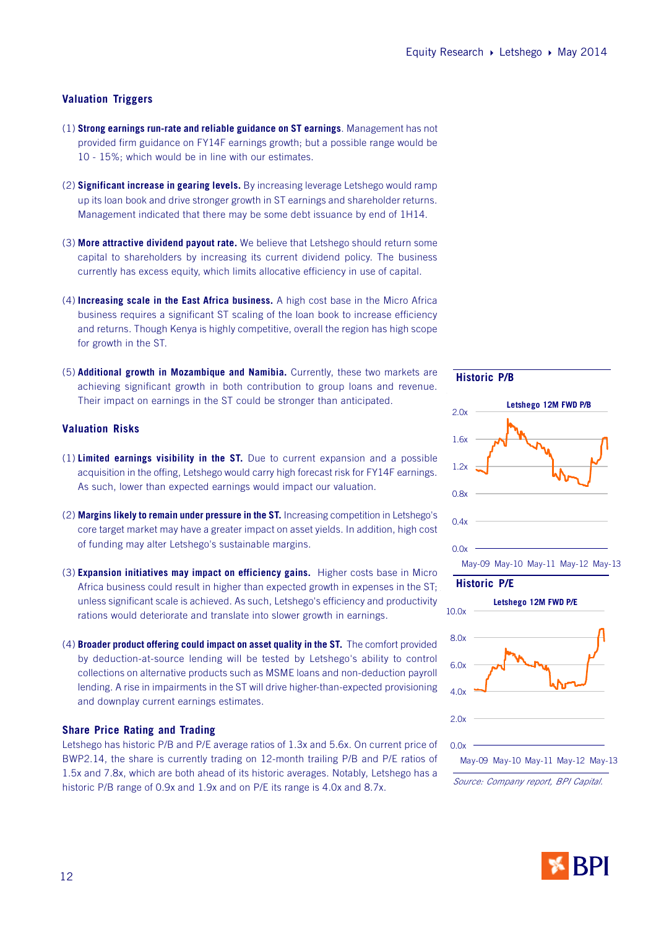#### **Valuation Triggers**

- (1) **Strong earnings run-rate and reliable guidance on ST earnings**. Management has not provided firm guidance on FY14F earnings growth; but a possible range would be 10 - 15%; which would be in line with our estimates.
- (2) **Significant increase in gearing levels.** By increasing leverage Letshego would ramp up its loan book and drive stronger growth in ST earnings and shareholder returns. Management indicated that there may be some debt issuance by end of 1H14.
- (3) **More attractive dividend payout rate.** We believe that Letshego should return some capital to shareholders by increasing its current dividend policy. The business currently has excess equity, which limits allocative efficiency in use of capital.
- (4) **Increasing scale in the East Africa business.** A high cost base in the Micro Africa business requires a significant ST scaling of the loan book to increase efficiency and returns. Though Kenya is highly competitive, overall the region has high scope for growth in the ST.
- (5) **Additional growth in Mozambique and Namibia.** Currently, these two markets are achieving significant growth in both contribution to group loans and revenue. Their impact on earnings in the ST could be stronger than anticipated.

#### **Valuation Risks**

- (1) **Limited earnings visibility in the ST.** Due to current expansion and a possible acquisition in the offing, Letshego would carry high forecast risk for FY14F earnings. As such, lower than expected earnings would impact our valuation.
- (2) **Margins likely to remain under pressure in the ST.** Increasing competition in Letshego's core target market may have a greater impact on asset yields. In addition, high cost of funding may alter Letshego's sustainable margins.
- (3) **Expansion initiatives may impact on efficiency gains.** Higher costs base in Micro Africa business could result in higher than expected growth in expenses in the ST; unless significant scale is achieved. As such, Letshego's efficiency and productivity rations would deteriorate and translate into slower growth in earnings.
- (4) **Broader product offering could impact on asset quality in the ST.** The comfort provided by deduction-at-source lending will be tested by Letshego's ability to control collections on alternative products such as MSME loans and non-deduction payroll lending. A rise in impairments in the ST will drive higher-than-expected provisioning and downplay current earnings estimates.

#### **Share Price Rating and Trading**

Letshego has historic P/B and P/E average ratios of 1.3x and 5.6x. On current price of BWP2.14, the share is currently trading on 12-month trailing P/B and P/E ratios of 1.5x and 7.8x, which are both ahead of its historic averages. Notably, Letshego has a historic P/B range of 0.9x and 1.9x and on P/E its range is 4.0x and 8.7x.



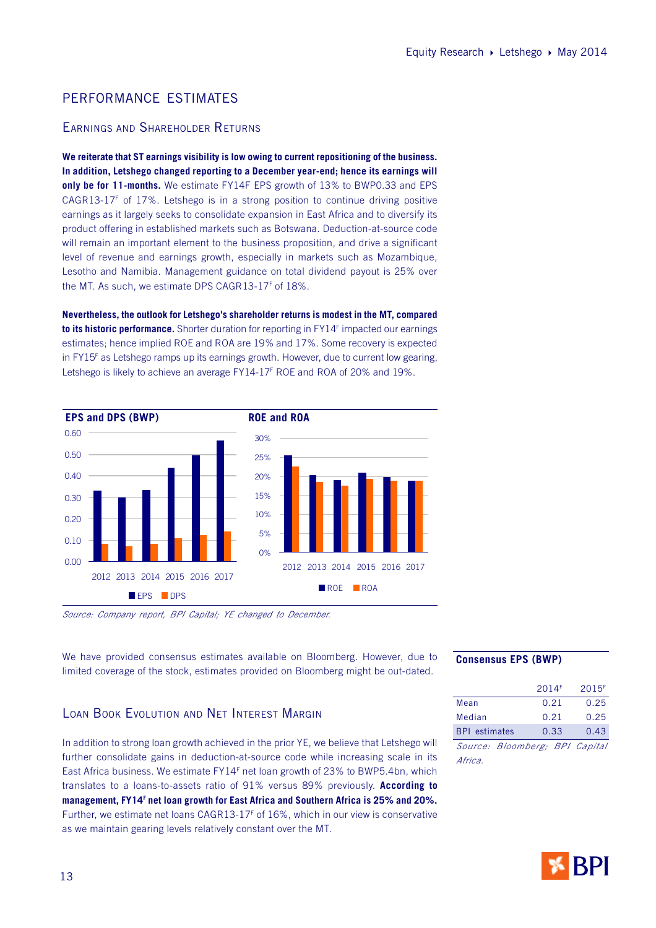## PERFORMANCE ESTIMATES

## EARNINGS AND SHAREHOLDER RETURNS

**We reiterate that ST earnings visibility is low owing to current repositioning of the business. In addition, Letshego changed reporting to a December year-end; hence its earnings will only be for 11-months.** We estimate FY14F EPS growth of 13% to BWP0.33 and EPS  $CAGR13-17<sup>F</sup>$  of 17%. Letshego is in a strong position to continue driving positive earnings as it largely seeks to consolidate expansion in East Africa and to diversify its product offering in established markets such as Botswana. Deduction-at-source code will remain an important element to the business proposition, and drive a significant level of revenue and earnings growth, especially in markets such as Mozambique, Lesotho and Namibia. Management guidance on total dividend payout is 25% over the MT. As such, we estimate DPS CAGR13-17<sup>F</sup> of 18%.

**Nevertheless, the outlook for Letshego's shareholder returns is modest in the MT, compared to its historic performance.** Shorter duration for reporting in FY14<sup>F</sup> impacted our earnings estimates; hence implied ROE and ROA are 19% and 17%. Some recovery is expected in FY15<sup>F</sup> as Letshego ramps up its earnings growth. However, due to current low gearing, Letshego is likely to achieve an average FY14-17<sup>F</sup> ROE and ROA of 20% and 19%.



Source: Company report, BPI Capital; YE changed to December.

We have provided consensus estimates available on Bloomberg. However, due to limited coverage of the stock, estimates provided on Bloomberg might be out-dated.

#### **Consensus EPS (BWP)**

|                                | 2014F | 2015F |
|--------------------------------|-------|-------|
| Mean                           | 0.21  | 0.25  |
| Median                         | 0.21  | 0.25  |
| <b>BPL</b> estimates           | 0.33  | 0.43  |
| Source: Bloomberg; BPI Capital |       |       |
| Africa                         |       |       |

## LOAN BOOK EVOLUTION AND NET INTEREST MARGIN

In addition to strong loan growth achieved in the prior YE, we believe that Letshego will further consolidate gains in deduction-at-source code while increasing scale in its East Africa business. We estimate FY14<sup>F</sup> net loan growth of 23% to BWP5.4bn, which translates to a loans-to-assets ratio of 91% versus 89% previously. **According to management, FY14<sup>F</sup> net loan growth for East Africa and Southern Africa is 25% and 20%.** Further, we estimate net loans CAGR13-17<sup>F</sup> of 16%, which in our view is conservative as we maintain gearing levels relatively constant over the MT.

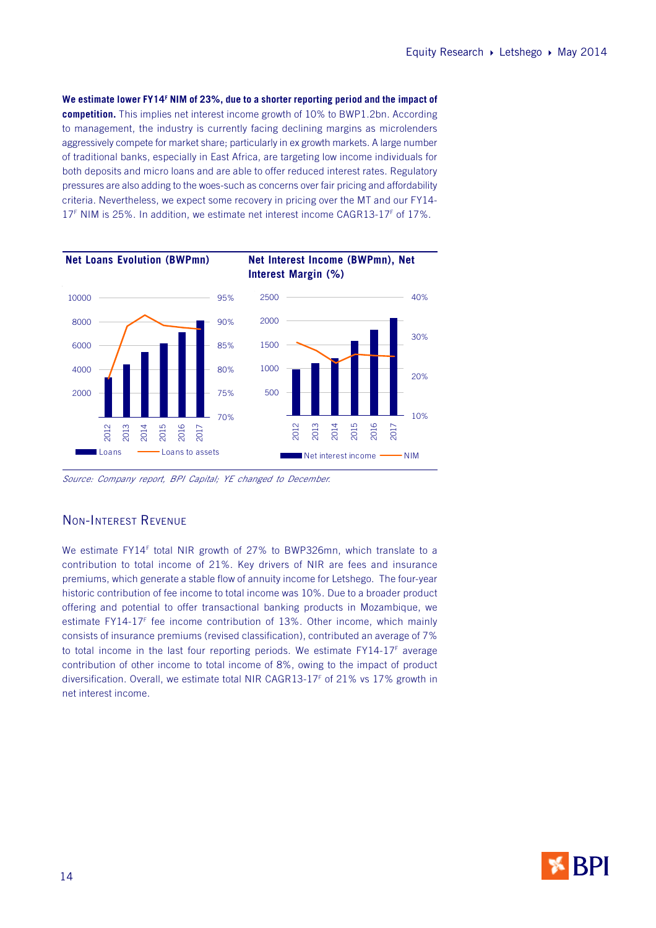**We estimate lower FY14<sup>F</sup> NIM of 23%, due to a shorter reporting period and the impact of competition.** This implies net interest income growth of 10% to BWP1.2bn. According to management, the industry is currently facing declining margins as microlenders aggressively compete for market share; particularly in ex growth markets. A large number of traditional banks, especially in East Africa, are targeting low income individuals for both deposits and micro loans and are able to offer reduced interest rates. Regulatory pressures are also adding to the woes-such as concerns over fair pricing and affordability criteria. Nevertheless, we expect some recovery in pricing over the MT and our FY14- 17<sup>F</sup> NIM is 25%. In addition, we estimate net interest income CAGR13-17<sup>F</sup> of 17%.



Source: Company report, BPI Capital; YE changed to December.

## NON-INTEREST REVENUE

We estimate FY14<sup>F</sup> total NIR growth of 27% to BWP326mn, which translate to a contribution to total income of 21%. Key drivers of NIR are fees and insurance premiums, which generate a stable flow of annuity income for Letshego. The four-year historic contribution of fee income to total income was 10%. Due to a broader product offering and potential to offer transactional banking products in Mozambique, we estimate FY14-17<sup>F</sup> fee income contribution of 13%. Other income, which mainly consists of insurance premiums (revised classification), contributed an average of 7% to total income in the last four reporting periods. We estimate FY14-17<sup>F</sup> average contribution of other income to total income of 8%, owing to the impact of product diversification. Overall, we estimate total NIR CAGR13-17<sup>F</sup> of 21% vs 17% growth in net interest income.

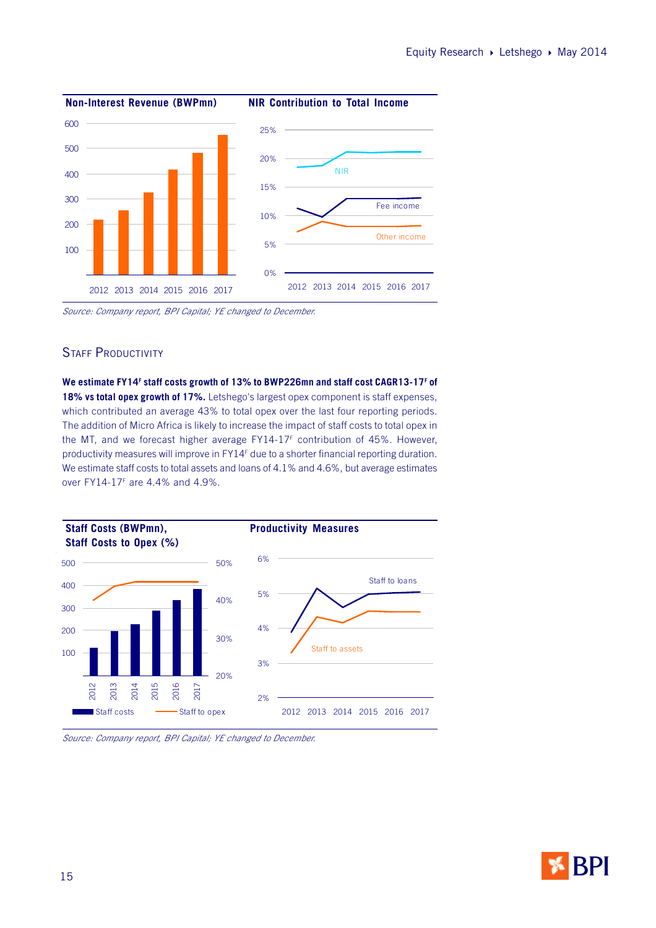

Source: Company report, BPI Capital; YE changed to December.

## STAFF PRODUCTIVITY

**We estimate FY14<sup>F</sup> staff costs growth of 13% to BWP226mn and staff cost CAGR13-17<sup>F</sup> of 18% vs total opex growth of 17%.** Letshego's largest opex component is staff expenses, which contributed an average 43% to total opex over the last four reporting periods. The addition of Micro Africa is likely to increase the impact of staff costs to total opex in the MT, and we forecast higher average FY14-17<sup>F</sup> contribution of 45%. However, productivity measures will improve in FY14<sup>F</sup> due to a shorter financial reporting duration. We estimate staff costs to total assets and loans of 4.1% and 4.6%, but average estimates over FY14-17<sup>F</sup> are 4.4% and 4.9%.



Source: Company report, BPI Capital; YE changed to December.

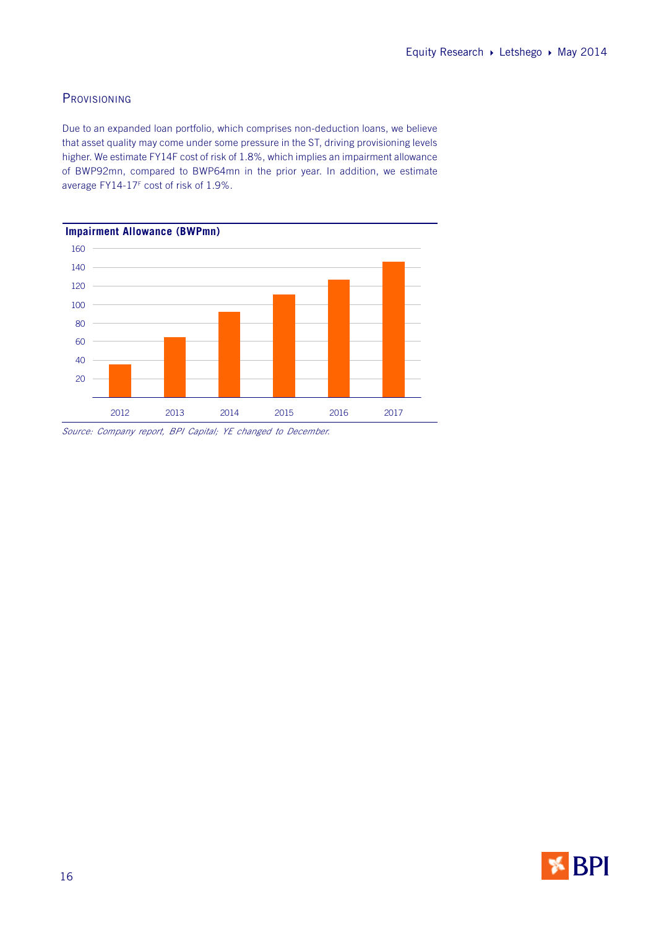## **PROVISIONING**

Due to an expanded loan portfolio, which comprises non-deduction loans, we believe that asset quality may come under some pressure in the ST, driving provisioning levels higher. We estimate FY14F cost of risk of 1.8%, which implies an impairment allowance of BWP92mn, compared to BWP64mn in the prior year. In addition, we estimate average FY14-17<sup>F</sup> cost of risk of 1.9%.



Source: Company report, BPI Capital; YE changed to December.

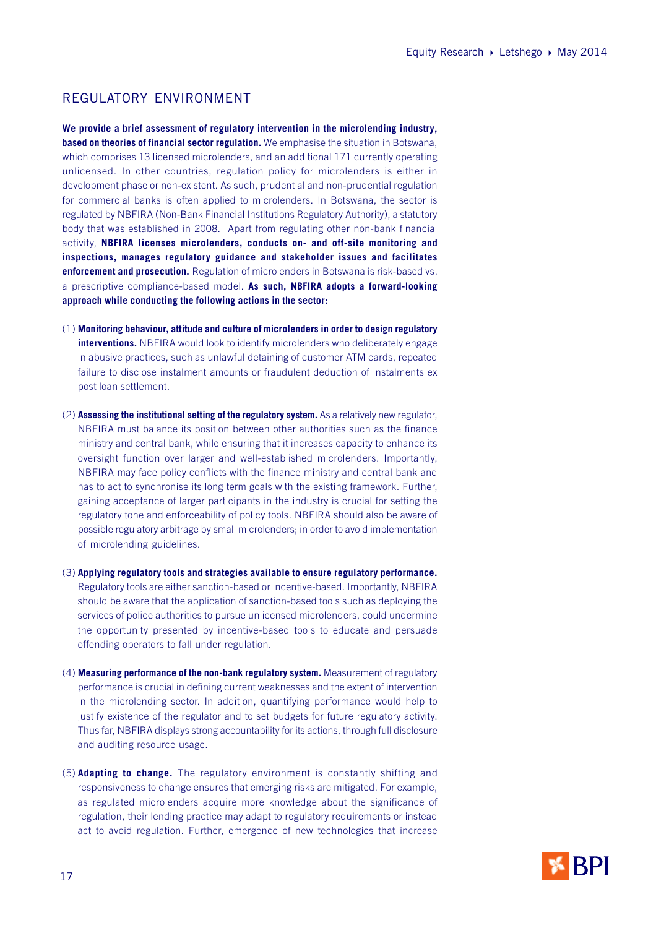## REGULATORY ENVIRONMENT

**We provide a brief assessment of regulatory intervention in the microlending industry, based on theories of financial sector regulation.** We emphasise the situation in Botswana, which comprises 13 licensed microlenders, and an additional 171 currently operating unlicensed. In other countries, regulation policy for microlenders is either in development phase or non-existent. As such, prudential and non-prudential regulation for commercial banks is often applied to microlenders. In Botswana, the sector is regulated by NBFIRA (Non-Bank Financial Institutions Regulatory Authority), a statutory body that was established in 2008. Apart from regulating other non-bank financial activity, **NBFIRA licenses microlenders, conducts on- and off-site monitoring and inspections, manages regulatory guidance and stakeholder issues and facilitates enforcement and prosecution.** Regulation of microlenders in Botswana is risk-based vs. a prescriptive compliance-based model. **As such, NBFIRA adopts a forward-looking approach while conducting the following actions in the sector:**

- (1) **Monitoring behaviour, attitude and culture of microlenders in order to design regulatory interventions.** NBFIRA would look to identify microlenders who deliberately engage in abusive practices, such as unlawful detaining of customer ATM cards, repeated failure to disclose instalment amounts or fraudulent deduction of instalments ex post loan settlement.
- (2) **Assessing the institutional setting of the regulatory system.** As a relatively new regulator, NBFIRA must balance its position between other authorities such as the finance ministry and central bank, while ensuring that it increases capacity to enhance its oversight function over larger and well-established microlenders. Importantly, NBFIRA may face policy conflicts with the finance ministry and central bank and has to act to synchronise its long term goals with the existing framework. Further, gaining acceptance of larger participants in the industry is crucial for setting the regulatory tone and enforceability of policy tools. NBFIRA should also be aware of possible regulatory arbitrage by small microlenders; in order to avoid implementation of microlending guidelines.
- (3) **Applying regulatory tools and strategies available to ensure regulatory performance.** Regulatory tools are either sanction-based or incentive-based. Importantly, NBFIRA should be aware that the application of sanction-based tools such as deploying the services of police authorities to pursue unlicensed microlenders, could undermine the opportunity presented by incentive-based tools to educate and persuade offending operators to fall under regulation.
- (4) **Measuring performance of the non-bank regulatory system.** Measurement of regulatory performance is crucial in defining current weaknesses and the extent of intervention in the microlending sector. In addition, quantifying performance would help to justify existence of the regulator and to set budgets for future regulatory activity. Thus far, NBFIRA displays strong accountability for its actions, through full disclosure and auditing resource usage.
- (5) **Adapting to change.** The regulatory environment is constantly shifting and responsiveness to change ensures that emerging risks are mitigated. For example, as regulated microlenders acquire more knowledge about the significance of regulation, their lending practice may adapt to regulatory requirements or instead act to avoid regulation. Further, emergence of new technologies that increase

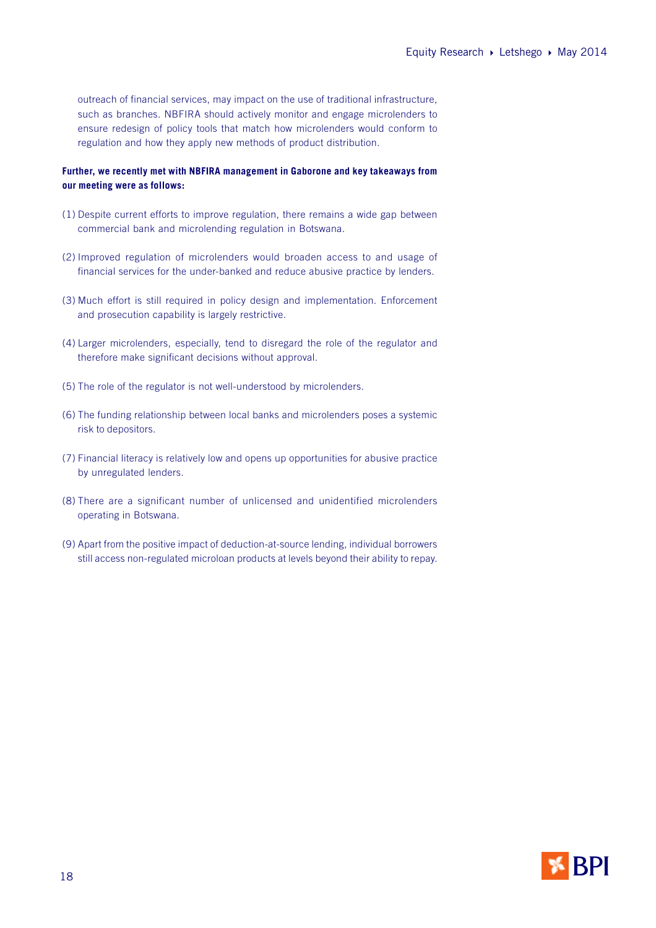outreach of financial services, may impact on the use of traditional infrastructure, such as branches. NBFIRA should actively monitor and engage microlenders to ensure redesign of policy tools that match how microlenders would conform to regulation and how they apply new methods of product distribution.

#### **Further, we recently met with NBFIRA management in Gaborone and key takeaways from our meeting were as follows:**

- (1) Despite current efforts to improve regulation, there remains a wide gap between commercial bank and microlending regulation in Botswana.
- (2) Improved regulation of microlenders would broaden access to and usage of financial services for the under-banked and reduce abusive practice by lenders.
- (3) Much effort is still required in policy design and implementation. Enforcement and prosecution capability is largely restrictive.
- (4) Larger microlenders, especially, tend to disregard the role of the regulator and therefore make significant decisions without approval.
- (5) The role of the regulator is not well-understood by microlenders.
- (6) The funding relationship between local banks and microlenders poses a systemic risk to depositors.
- (7) Financial literacy is relatively low and opens up opportunities for abusive practice by unregulated lenders.
- (8) There are a significant number of unlicensed and unidentified microlenders operating in Botswana.
- (9) Apart from the positive impact of deduction-at-source lending, individual borrowers still access non-regulated microloan products at levels beyond their ability to repay.

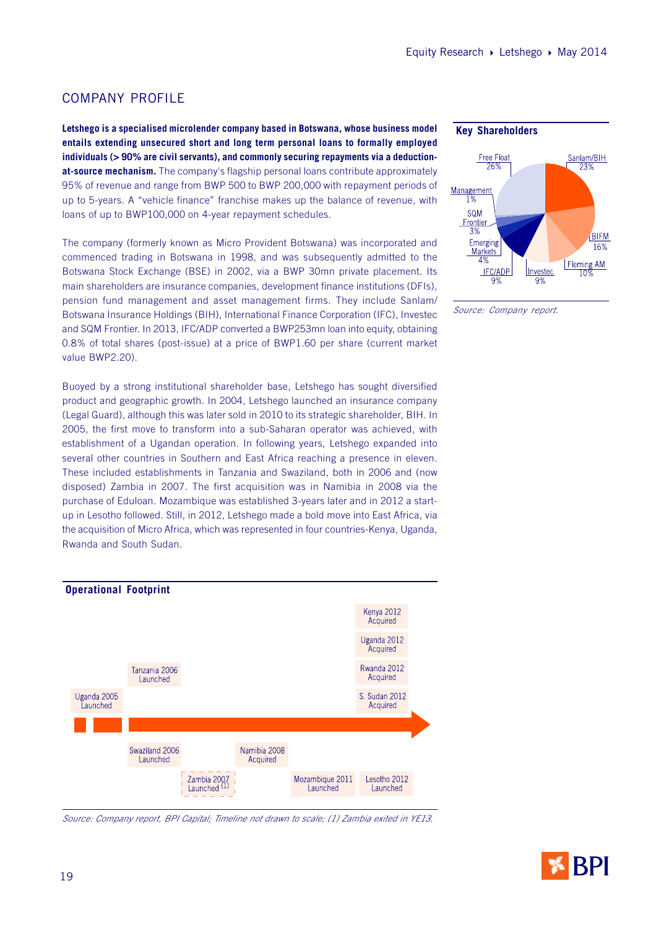## COMPANY PROFILE

**Letshego is a specialised microlender company based in Botswana, whose business model entails extending unsecured short and long term personal loans to formally employed individuals (> 90% are civil servants), and commonly securing repayments via a deductionat-source mechanism.** The company's flagship personal loans contribute approximately 95% of revenue and range from BWP 500 to BWP 200,000 with repayment periods of up to 5-years. A "vehicle finance" franchise makes up the balance of revenue, with loans of up to BWP100,000 on 4-year repayment schedules.

The company (formerly known as Micro Provident Botswana) was incorporated and commenced trading in Botswana in 1998, and was subsequently admitted to the Botswana Stock Exchange (BSE) in 2002, via a BWP 30mn private placement. Its main shareholders are insurance companies, development finance institutions (DFIs), pension fund management and asset management firms. They include Sanlam/ Botswana Insurance Holdings (BIH), International Finance Corporation (IFC), Investec and SQM Frontier. In 2013, IFC/ADP converted a BWP253mn loan into equity, obtaining 0.8% of total shares (post-issue) at a price of BWP1.60 per share (current market value BWP2.20).

Buoyed by a strong institutional shareholder base, Letshego has sought diversified product and geographic growth. In 2004, Letshego launched an insurance company (Legal Guard), although this was later sold in 2010 to its strategic shareholder, BIH. In 2005, the first move to transform into a sub-Saharan operator was achieved, with establishment of a Ugandan operation. In following years, Letshego expanded into several other countries in Southern and East Africa reaching a presence in eleven. These included establishments in Tanzania and Swaziland, both in 2006 and (now disposed) Zambia in 2007. The first acquisition was in Namibia in 2008 via the purchase of Eduloan. Mozambique was established 3-years later and in 2012 a startup in Lesotho followed. Still, in 2012, Letshego made a bold move into East Africa, via the acquisition of Micro Africa, which was represented in four countries-Kenya, Uganda, Rwanda and South Sudan.



#### Source: Company report, BPI Capital; Timeline not drawn to scale; (1) Zambia exited in YE13.





Source: Company report.

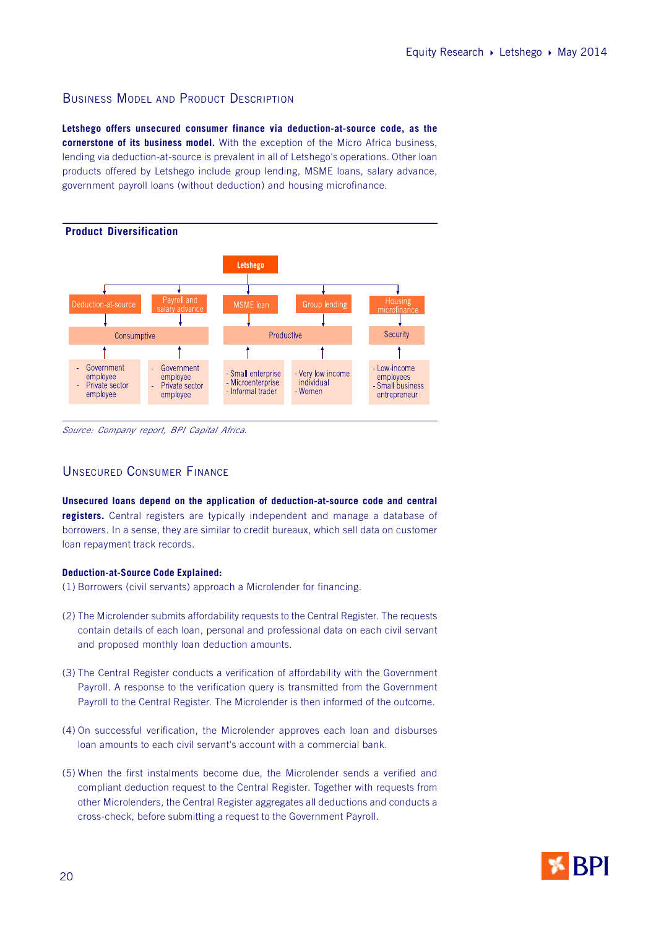## BUSINESS MODEL AND PRODUCT DESCRIPTION

**Letshego offers unsecured consumer finance via deduction-at-source code, as the cornerstone of its business model.** With the exception of the Micro Africa business, lending via deduction-at-source is prevalent in all of Letshego's operations. Other loan products offered by Letshego include group lending, MSME loans, salary advance, government payroll loans (without deduction) and housing microfinance.



Source: Company report, BPI Capital Africa.

## UNSECURED CONSUMER FINANCE

**Unsecured loans depend on the application of deduction-at-source code and central registers.** Central registers are typically independent and manage a database of borrowers. In a sense, they are similar to credit bureaux, which sell data on customer loan repayment track records.

#### **Deduction-at-Source Code Explained:**

- (1) Borrowers (civil servants) approach a Microlender for financing.
- (2) The Microlender submits affordability requests to the Central Register. The requests contain details of each loan, personal and professional data on each civil servant and proposed monthly loan deduction amounts.
- (3) The Central Register conducts a verification of affordability with the Government Payroll. A response to the verification query is transmitted from the Government Payroll to the Central Register. The Microlender is then informed of the outcome.
- (4) On successful verification, the Microlender approves each loan and disburses loan amounts to each civil servant's account with a commercial bank.
- (5) When the first instalments become due, the Microlender sends a verified and compliant deduction request to the Central Register. Together with requests from other Microlenders, the Central Register aggregates all deductions and conducts a cross-check, before submitting a request to the Government Payroll.

![](_page_19_Picture_13.jpeg)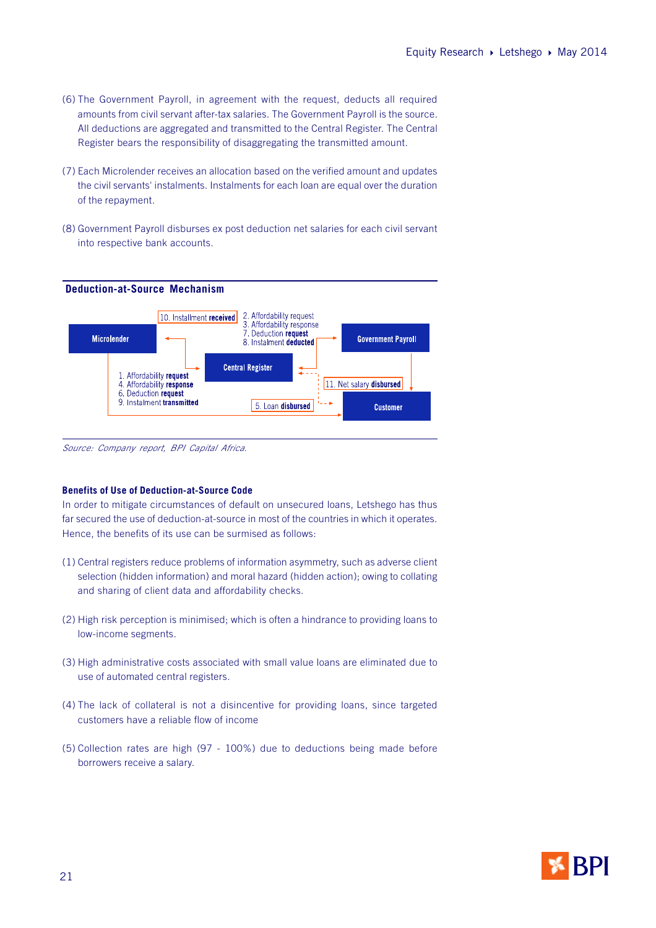- (6) The Government Payroll, in agreement with the request, deducts all required amounts from civil servant after-tax salaries. The Government Payroll is the source. All deductions are aggregated and transmitted to the Central Register. The Central Register bears the responsibility of disaggregating the transmitted amount.
- (7) Each Microlender receives an allocation based on the verified amount and updates the civil servants' instalments. Instalments for each loan are equal over the duration of the repayment.
- (8) Government Payroll disburses ex post deduction net salaries for each civil servant into respective bank accounts.

![](_page_20_Figure_4.jpeg)

Source: Company report, BPI Capital Africa.

#### **Benefits of Use of Deduction-at-Source Code**

In order to mitigate circumstances of default on unsecured loans, Letshego has thus far secured the use of deduction-at-source in most of the countries in which it operates. Hence, the benefits of its use can be surmised as follows:

- (1) Central registers reduce problems of information asymmetry, such as adverse client selection (hidden information) and moral hazard (hidden action); owing to collating and sharing of client data and affordability checks.
- (2) High risk perception is minimised; which is often a hindrance to providing loans to low-income segments.
- (3) High administrative costs associated with small value loans are eliminated due to use of automated central registers.
- (4) The lack of collateral is not a disincentive for providing loans, since targeted customers have a reliable flow of income
- (5) Collection rates are high (97 100%) due to deductions being made before borrowers receive a salary.

![](_page_20_Picture_13.jpeg)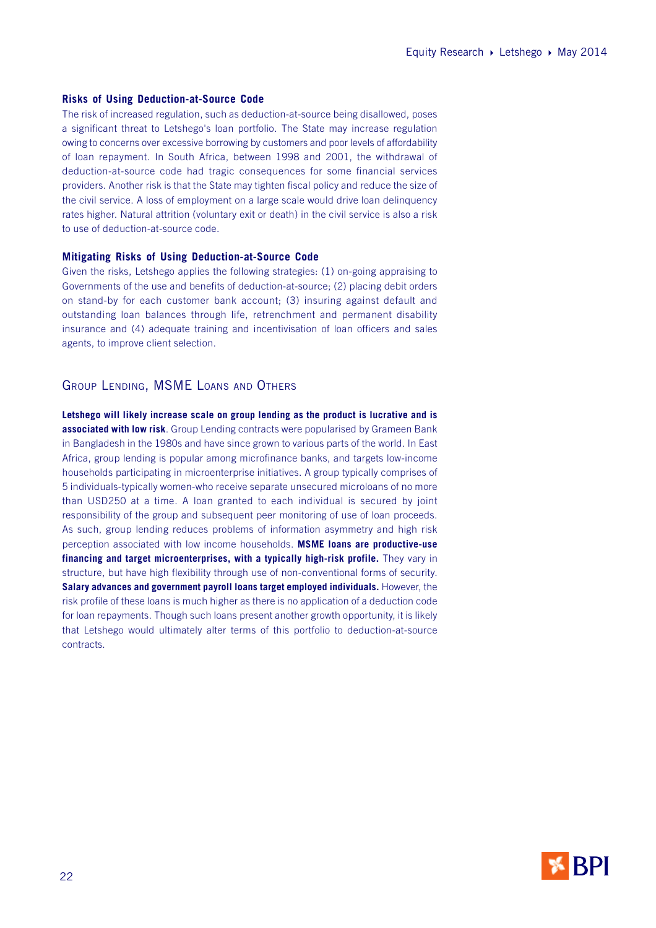#### **Risks of Using Deduction-at-Source Code**

The risk of increased regulation, such as deduction-at-source being disallowed, poses a significant threat to Letshego's loan portfolio. The State may increase regulation owing to concerns over excessive borrowing by customers and poor levels of affordability of loan repayment. In South Africa, between 1998 and 2001, the withdrawal of deduction-at-source code had tragic consequences for some financial services providers. Another risk is that the State may tighten fiscal policy and reduce the size of the civil service. A loss of employment on a large scale would drive loan delinquency rates higher. Natural attrition (voluntary exit or death) in the civil service is also a risk to use of deduction-at-source code.

#### **Mitigating Risks of Using Deduction-at-Source Code**

Given the risks, Letshego applies the following strategies: (1) on-going appraising to Governments of the use and benefits of deduction-at-source; (2) placing debit orders on stand-by for each customer bank account; (3) insuring against default and outstanding loan balances through life, retrenchment and permanent disability insurance and (4) adequate training and incentivisation of loan officers and sales agents, to improve client selection.

## GROUP LENDING, MSME LOANS AND OTHERS

**Letshego will likely increase scale on group lending as the product is lucrative and is associated with low risk**. Group Lending contracts were popularised by Grameen Bank in Bangladesh in the 1980s and have since grown to various parts of the world. In East Africa, group lending is popular among microfinance banks, and targets low-income households participating in microenterprise initiatives. A group typically comprises of 5 individuals-typically women-who receive separate unsecured microloans of no more than USD250 at a time. A loan granted to each individual is secured by joint responsibility of the group and subsequent peer monitoring of use of loan proceeds. As such, group lending reduces problems of information asymmetry and high risk perception associated with low income households. **MSME loans are productive-use financing and target microenterprises, with a typically high-risk profile.** They vary in structure, but have high flexibility through use of non-conventional forms of security. **Salary advances and government payroll loans target employed individuals.** However, the risk profile of these loans is much higher as there is no application of a deduction code for loan repayments. Though such loans present another growth opportunity, it is likely that Letshego would ultimately alter terms of this portfolio to deduction-at-source contracts.

![](_page_21_Picture_7.jpeg)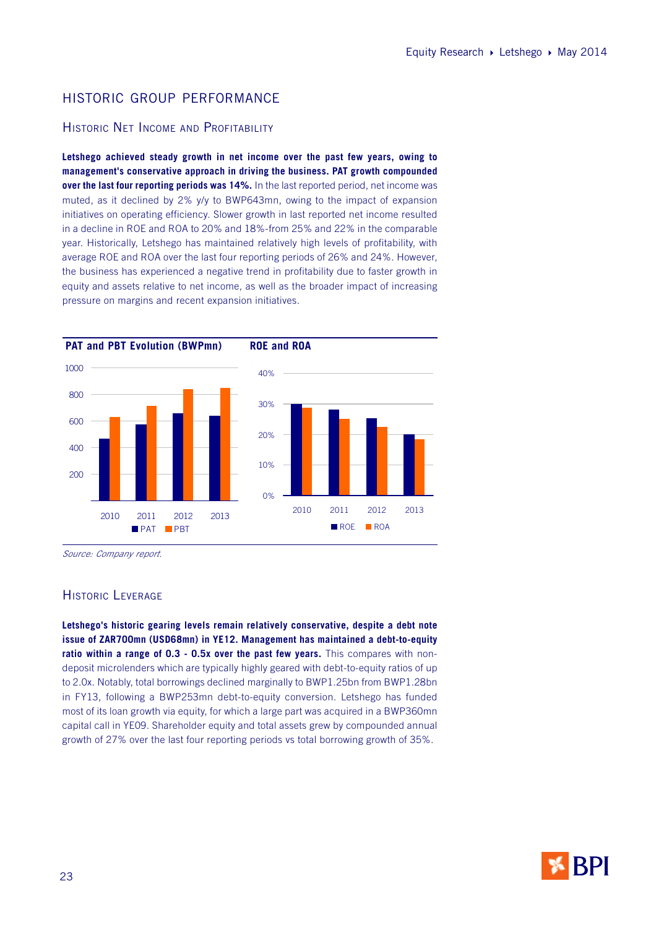## HISTORIC GROUP PERFORMANCE

## HISTORIC NET INCOME AND PROFITABILITY

**Letshego achieved steady growth in net income over the past few years, owing to management's conservative approach in driving the business. PAT growth compounded over the last four reporting periods was 14%.** In the last reported period, net income was muted, as it declined by 2% y/y to BWP643mn, owing to the impact of expansion initiatives on operating efficiency. Slower growth in last reported net income resulted in a decline in ROE and ROA to 20% and 18%-from 25% and 22% in the comparable year. Historically, Letshego has maintained relatively high levels of profitability, with average ROE and ROA over the last four reporting periods of 26% and 24%. However, the business has experienced a negative trend in profitability due to faster growth in equity and assets relative to net income, as well as the broader impact of increasing pressure on margins and recent expansion initiatives.

![](_page_22_Figure_4.jpeg)

Source: Company report.

## HISTORIC LEVERAGE

**Letshego's historic gearing levels remain relatively conservative, despite a debt note issue of ZAR700mn (USD68mn) in YE12. Management has maintained a debt-to-equity ratio within a range of 0.3 - 0.5x over the past few years.** This compares with nondeposit microlenders which are typically highly geared with debt-to-equity ratios of up to 2.0x. Notably, total borrowings declined marginally to BWP1.25bn from BWP1.28bn in FY13, following a BWP253mn debt-to-equity conversion. Letshego has funded most of its loan growth via equity, for which a large part was acquired in a BWP360mn capital call in YE09. Shareholder equity and total assets grew by compounded annual growth of 27% over the last four reporting periods vs total borrowing growth of 35%.

![](_page_22_Picture_8.jpeg)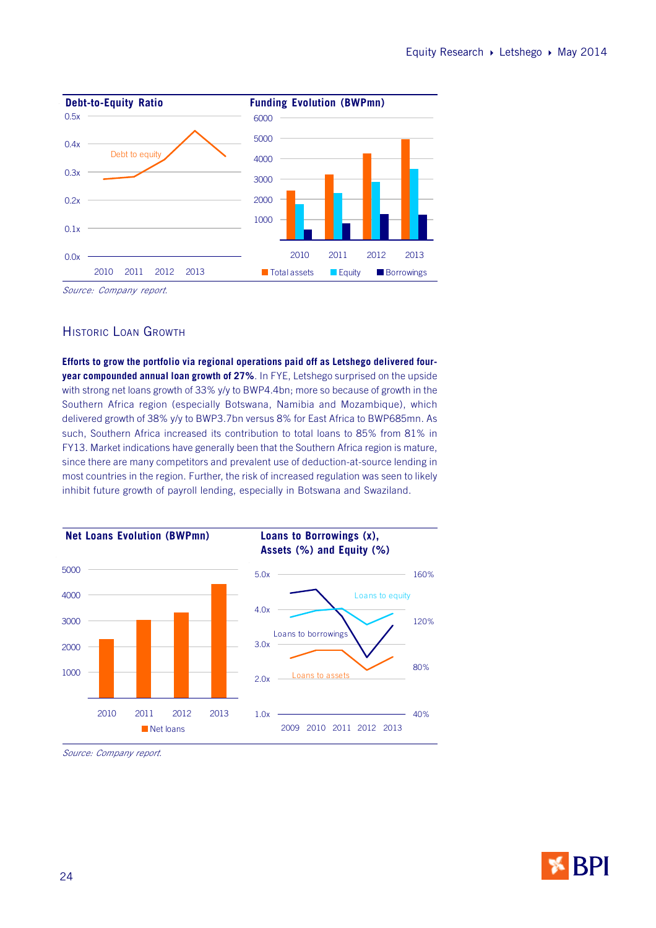![](_page_23_Figure_1.jpeg)

Source: Company report.

## HISTORIC LOAN GROWTH

**Efforts to grow the portfolio via regional operations paid off as Letshego delivered fouryear compounded annual loan growth of 27%**. In FYE, Letshego surprised on the upside with strong net loans growth of 33% y/y to BWP4.4bn; more so because of growth in the Southern Africa region (especially Botswana, Namibia and Mozambique), which delivered growth of 38% y/y to BWP3.7bn versus 8% for East Africa to BWP685mn. As such, Southern Africa increased its contribution to total loans to 85% from 81% in FY13. Market indications have generally been that the Southern Africa region is mature, since there are many competitors and prevalent use of deduction-at-source lending in most countries in the region. Further, the risk of increased regulation was seen to likely inhibit future growth of payroll lending, especially in Botswana and Swaziland.

![](_page_23_Figure_5.jpeg)

Source: Company report.

![](_page_23_Picture_7.jpeg)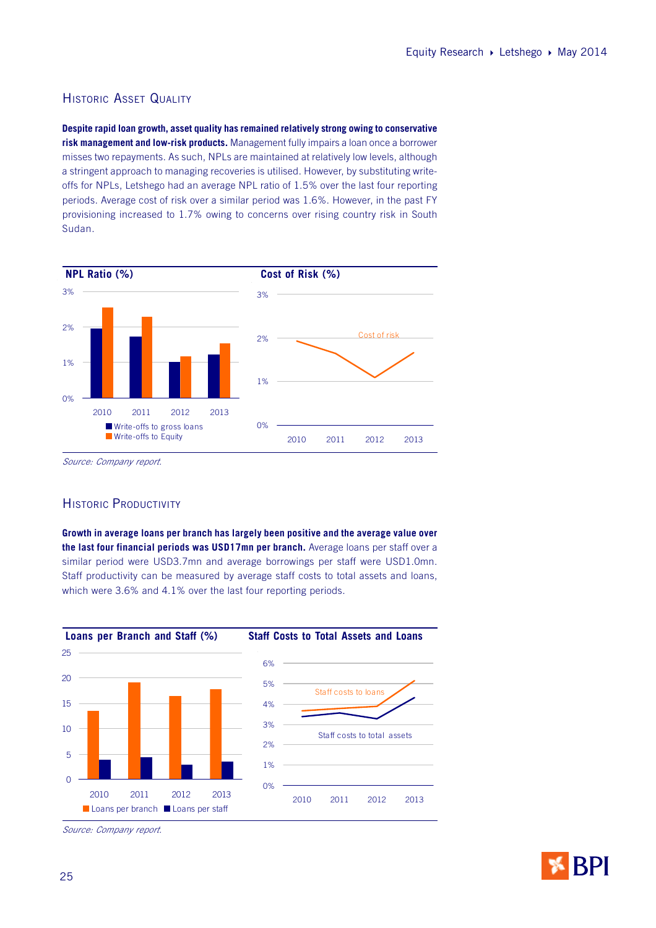## HISTORIC ASSET QUALITY

**Despite rapid loan growth, asset quality has remained relatively strong owing to conservative risk management and low-risk products.** Management fully impairs a loan once a borrower misses two repayments. As such, NPLs are maintained at relatively low levels, although a stringent approach to managing recoveries is utilised. However, by substituting writeoffs for NPLs, Letshego had an average NPL ratio of 1.5% over the last four reporting periods. Average cost of risk over a similar period was 1.6%. However, in the past FY provisioning increased to 1.7% owing to concerns over rising country risk in South Sudan.

![](_page_24_Figure_3.jpeg)

Source: Company report.

## HISTORIC PRODUCTIVITY

**Growth in average loans per branch has largely been positive and the average value over the last four financial periods was USD17mn per branch.** Average loans per staff over a similar period were USD3.7mn and average borrowings per staff were USD1.0mn. Staff productivity can be measured by average staff costs to total assets and loans, which were 3.6% and 4.1% over the last four reporting periods.

![](_page_24_Figure_7.jpeg)

Source: Company report.

![](_page_24_Picture_9.jpeg)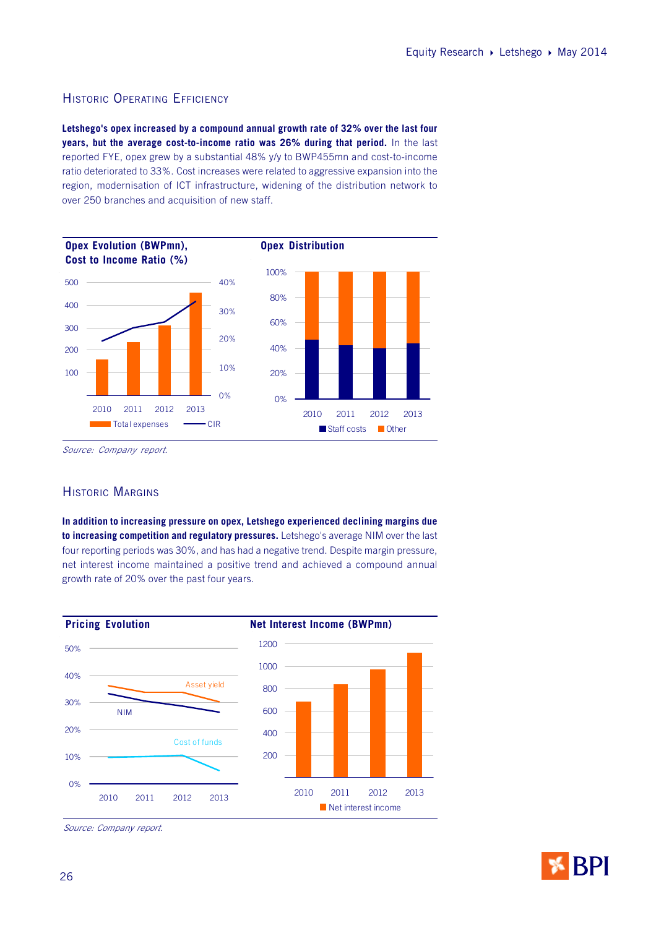## HISTORIC OPERATING EFFICIENCY

**Letshego's opex increased by a compound annual growth rate of 32% over the last four years, but the average cost-to-income ratio was 26% during that period.** In the last reported FYE, opex grew by a substantial 48% y/y to BWP455mn and cost-to-income ratio deteriorated to 33%. Cost increases were related to aggressive expansion into the region, modernisation of ICT infrastructure, widening of the distribution network to over 250 branches and acquisition of new staff.

![](_page_25_Figure_3.jpeg)

Source: Company report.

## HISTORIC MARGINS

**In addition to increasing pressure on opex, Letshego experienced declining margins due to increasing competition and regulatory pressures.** Letshego's average NIM over the last four reporting periods was 30%, and has had a negative trend. Despite margin pressure, net interest income maintained a positive trend and achieved a compound annual growth rate of 20% over the past four years.

![](_page_25_Figure_7.jpeg)

Source: Company report.

![](_page_25_Picture_9.jpeg)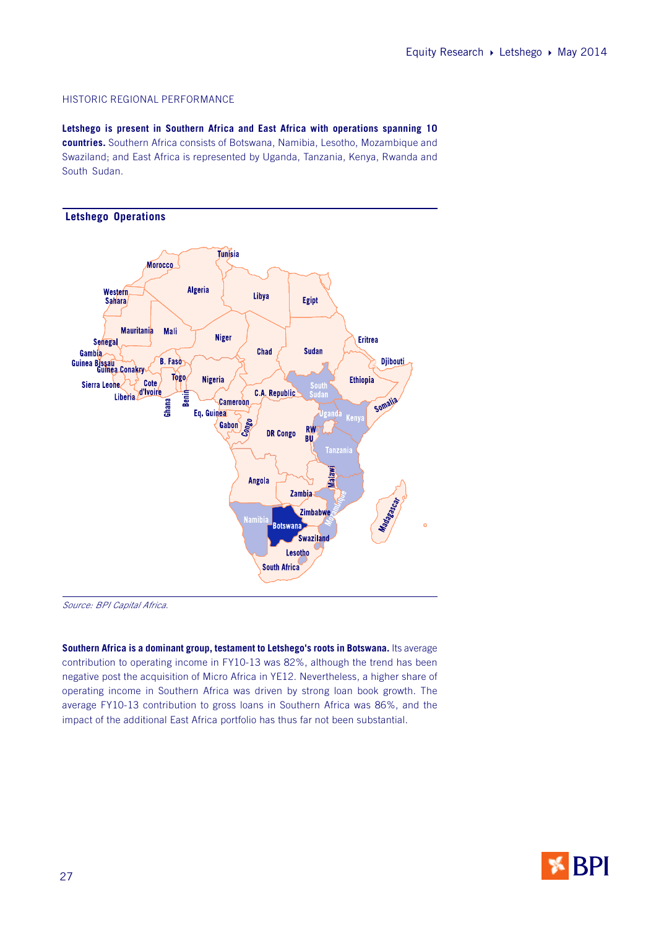#### HISTORIC REGIONAL PERFORMANCE

**Letshego is present in Southern Africa and East Africa with operations spanning 10 countries.** Southern Africa consists of Botswana, Namibia, Lesotho, Mozambique and Swaziland; and East Africa is represented by Uganda, Tanzania, Kenya, Rwanda and South Sudan.

![](_page_26_Figure_3.jpeg)

Source: BPI Capital Africa.

Southern Africa is a dominant group, testament to Letshego's roots in Botswana. Its average contribution to operating income in FY10-13 was 82%, although the trend has been negative post the acquisition of Micro Africa in YE12. Nevertheless, a higher share of operating income in Southern Africa was driven by strong loan book growth. The average FY10-13 contribution to gross loans in Southern Africa was 86%, and the impact of the additional East Africa portfolio has thus far not been substantial.

![](_page_26_Picture_6.jpeg)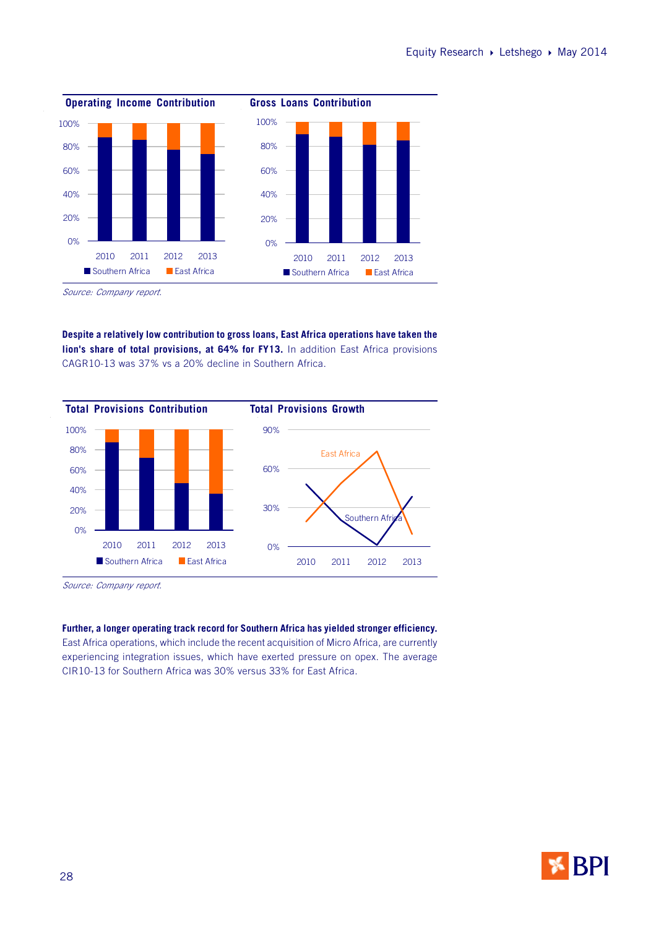![](_page_27_Figure_1.jpeg)

Source: Company report.

**Despite a relatively low contribution to gross loans, East Africa operations have taken the lion's share of total provisions, at 64% for FY13.** In addition East Africa provisions CAGR10-13 was 37% vs a 20% decline in Southern Africa.

![](_page_27_Figure_4.jpeg)

Source: Company report.

**Further, a longer operating track record for Southern Africa has yielded stronger efficiency.** East Africa operations, which include the recent acquisition of Micro Africa, are currently experiencing integration issues, which have exerted pressure on opex. The average CIR10-13 for Southern Africa was 30% versus 33% for East Africa.

![](_page_27_Picture_7.jpeg)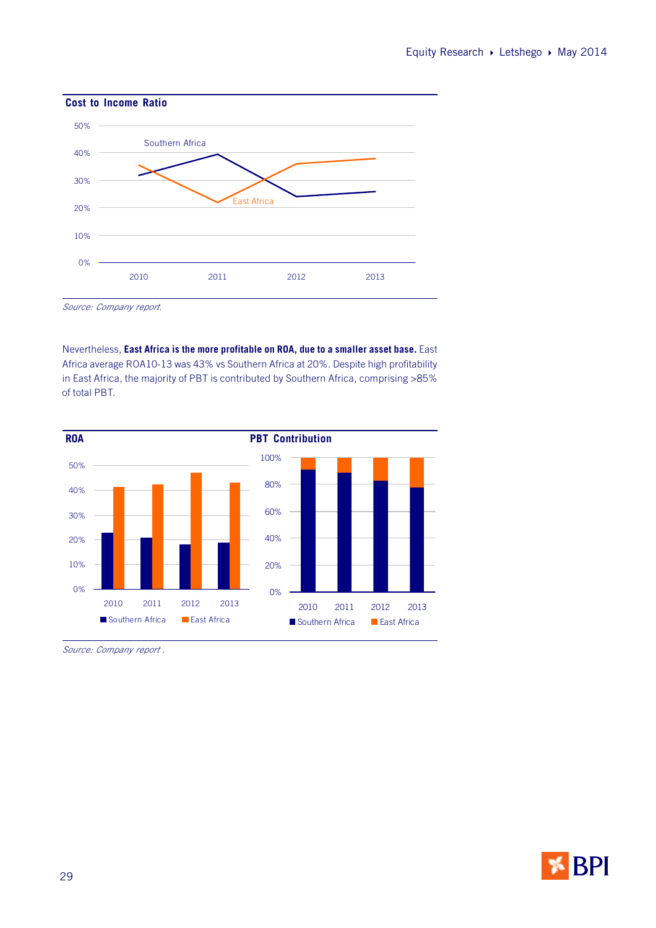![](_page_28_Figure_1.jpeg)

Source: Company report.

Nevertheless, **East Africa is the more profitable on ROA, due to a smaller asset base.** East Africa average ROA10-13 was 43% vs Southern Africa at 20%. Despite high profitability in East Africa, the majority of PBT is contributed by Southern Africa, comprising >85% of total PBT.

![](_page_28_Figure_4.jpeg)

Source: Company report .

![](_page_28_Picture_6.jpeg)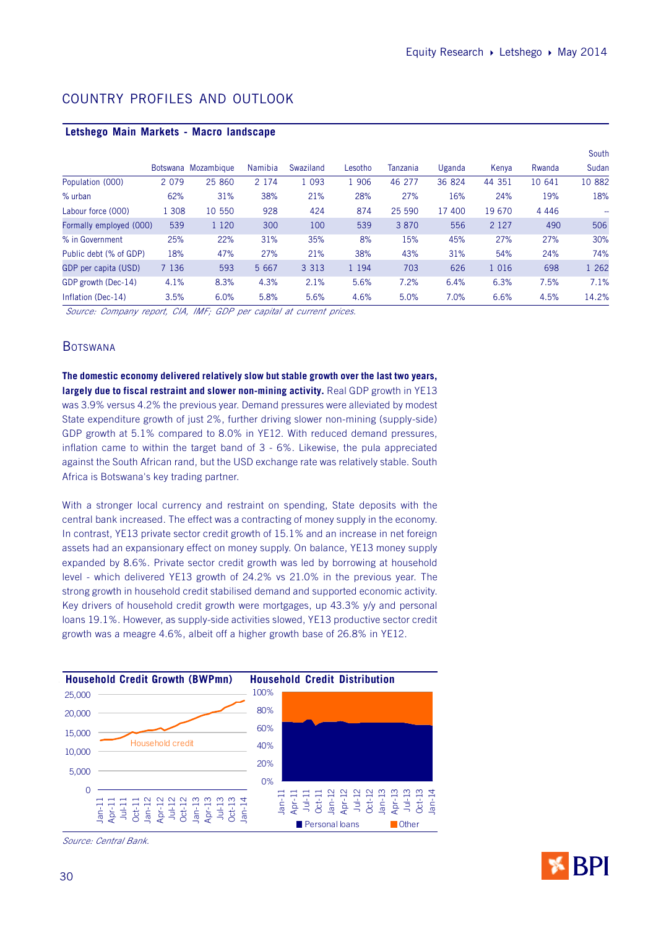| Letsliego Maill Markets - Macio Tanuscape |         |                     |         |           |         |          |        |         |         |        |
|-------------------------------------------|---------|---------------------|---------|-----------|---------|----------|--------|---------|---------|--------|
|                                           |         |                     |         |           |         |          |        |         |         | South  |
|                                           |         | Botswana Mozambique | Namibia | Swaziland | Lesotho | Tanzania | Uganda | Kenya   | Rwanda  | Sudan  |
| Population (000)                          | 2 0 7 9 | 25 860              | 2 1 7 4 | 1 0 9 3   | 1 906   | 46 277   | 36 824 | 44 351  | 10 641  | 10 882 |
| $%$ urban                                 | 62%     | 31%                 | 38%     | 21%       | 28%     | 27%      | 16%    | 24%     | 19%     | 18%    |
| Labour force (000)                        | 1 3 0 8 | 10 550              | 928     | 424       | 874     | 25 590   | 17 400 | 19 670  | 4 4 4 6 | --     |
| Formally employed (000)                   | 539     | 1 1 2 0             | 300     | 100       | 539     | 3 8 7 0  | 556    | 2 1 2 7 | 490     | 506    |
| % in Government                           | 25%     | 22%                 | 31%     | 35%       | 8%      | 15%      | 45%    | 27%     | 27%     | 30%    |
| Public debt (% of GDP)                    | 18%     | 47%                 | 27%     | 21%       | 38%     | 43%      | 31%    | 54%     | 24%     | 74%    |
| GDP per capita (USD)                      | 7 1 3 6 | 593                 | 5 6 6 7 | 3 3 1 3   | 1 1 9 4 | 703      | 626    | 1 0 1 6 | 698     | 1 262  |
| GDP growth (Dec-14)                       | 4.1%    | 8.3%                | 4.3%    | 2.1%      | 5.6%    | 7.2%     | 6.4%   | 6.3%    | 7.5%    | 7.1%   |
| Inflation (Dec-14)                        | 3.5%    | 6.0%                | 5.8%    | 5.6%      | 4.6%    | 5.0%     | 7.0%   | 6.6%    | 4.5%    | 14.2%  |

## COUNTRY PROFILES AND OUTLOOK

**Letshego Main Markets - Macro landscape**

Source: Company report, CIA, IMF; GDP per capital at current prices.

## **BOTSWANA**

**The domestic economy delivered relatively slow but stable growth over the last two years,** largely due to fiscal restraint and slower non-mining activity. Real GDP growth in YE13 was 3.9% versus 4.2% the previous year. Demand pressures were alleviated by modest State expenditure growth of just 2%, further driving slower non-mining (supply-side) GDP growth at 5.1% compared to 8.0% in YE12. With reduced demand pressures, inflation came to within the target band of 3 - 6%. Likewise, the pula appreciated against the South African rand, but the USD exchange rate was relatively stable. South Africa is Botswana's key trading partner.

With a stronger local currency and restraint on spending, State deposits with the central bank increased. The effect was a contracting of money supply in the economy. In contrast, YE13 private sector credit growth of 15.1% and an increase in net foreign assets had an expansionary effect on money supply. On balance, YE13 money supply expanded by 8.6%. Private sector credit growth was led by borrowing at household level - which delivered YE13 growth of 24.2% vs 21.0% in the previous year. The strong growth in household credit stabilised demand and supported economic activity. Key drivers of household credit growth were mortgages, up 43.3% y/y and personal loans 19.1%. However, as supply-side activities slowed, YE13 productive sector credit growth was a meagre 4.6%, albeit off a higher growth base of 26.8% in YE12.

![](_page_29_Figure_8.jpeg)

Source: Central Bank.

![](_page_29_Picture_10.jpeg)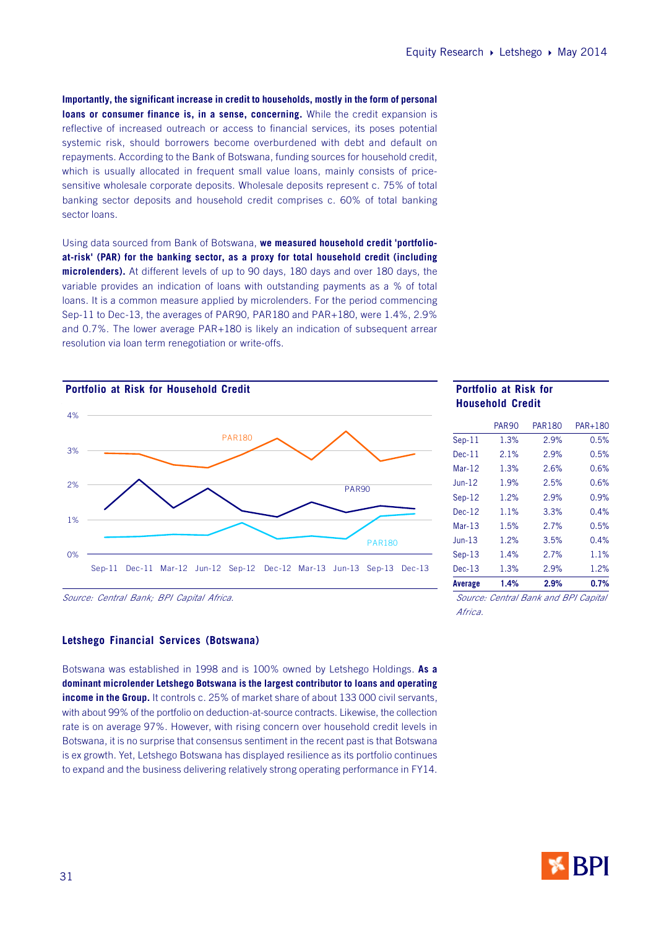**Importantly, the significant increase in credit to households, mostly in the form of personal loans or consumer finance is, in a sense, concerning.** While the credit expansion is reflective of increased outreach or access to financial services, its poses potential systemic risk, should borrowers become overburdened with debt and default on repayments. According to the Bank of Botswana, funding sources for household credit, which is usually allocated in frequent small value loans, mainly consists of pricesensitive wholesale corporate deposits. Wholesale deposits represent c. 75% of total banking sector deposits and household credit comprises c. 60% of total banking sector loans.

Using data sourced from Bank of Botswana, **we measured household credit 'portfolioat-risk' (PAR) for the banking sector, as a proxy for total household credit (including microlenders).** At different levels of up to 90 days, 180 days and over 180 days, the variable provides an indication of loans with outstanding payments as a % of total loans. It is a common measure applied by microlenders. For the period commencing Sep-11 to Dec-13, the averages of PAR90, PAR180 and PAR+180, were 1.4%, 2.9% and 0.7%. The lower average PAR+180 is likely an indication of subsequent arrear resolution via loan term renegotiation or write-offs.

![](_page_30_Figure_3.jpeg)

Source: Central Bank; BPI Capital Africa.

#### **Letshego Financial Services (Botswana)**

Botswana was established in 1998 and is 100% owned by Letshego Holdings. **As a dominant microlender Letshego Botswana is the largest contributor to loans and operating income in the Group.** It controls c. 25% of market share of about 133 000 civil servants, with about 99% of the portfolio on deduction-at-source contracts. Likewise, the collection rate is on average 97%. However, with rising concern over household credit levels in Botswana, it is no surprise that consensus sentiment in the recent past is that Botswana is ex growth. Yet, Letshego Botswana has displayed resilience as its portfolio continues to expand and the business delivering relatively strong operating performance in FY14.

## **Household Credit**

|          | <b>PAR90</b> | <b>PAR180</b>                        | PAR+180 |
|----------|--------------|--------------------------------------|---------|
| $Sep-11$ | 1.3%         | 2.9%                                 | 0.5%    |
| $Dec-11$ | 2.1%         | 2.9%                                 | 0.5%    |
| $Mar-12$ | 1.3%         | 2.6%                                 | 0.6%    |
| $Jun-12$ | 1.9%         | 2.5%                                 | 0.6%    |
| $Sep-12$ | 1.2%         | 2.9%                                 | 0.9%    |
| $Dec-12$ | 1.1%         | 3.3%                                 | 0.4%    |
| $Mar-13$ | 1.5%         | 2.7%                                 | 0.5%    |
| $Jun-13$ | 1.2%         | 3.5%                                 | 0.4%    |
| $Sep-13$ | 1.4%         | 2.7%                                 | 1.1%    |
| $Dec-13$ | 1.3%         | 2.9%                                 | 1.2%    |
| Average  | 1.4%         | 2.9%                                 | 0.7%    |
|          |              | Course, Control Bonk and DDI Conital |         |

Source: Central Bank and BPI Capital Africa.

![](_page_30_Picture_10.jpeg)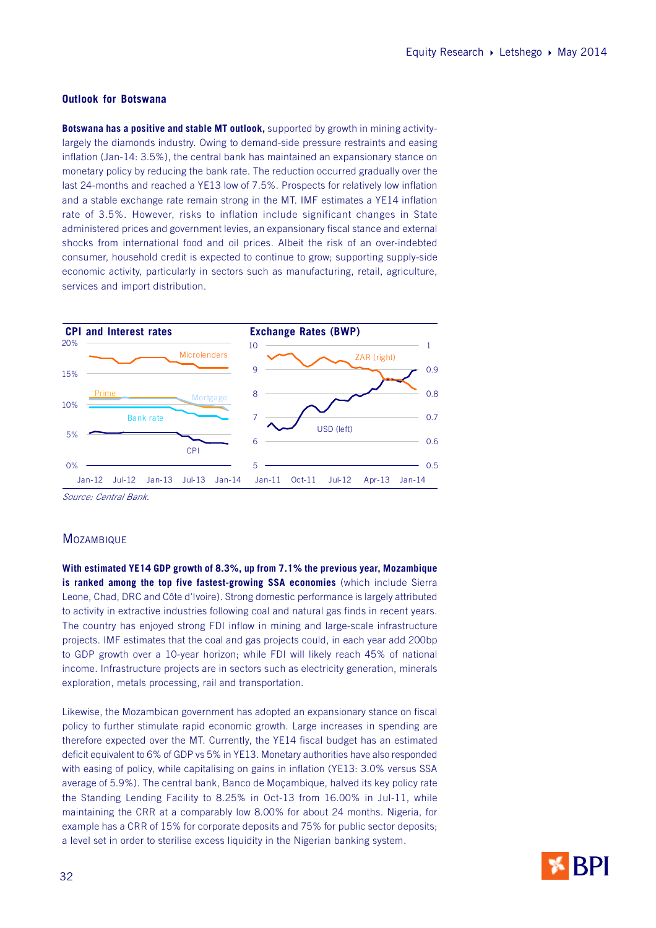#### **Outlook for Botswana**

**Botswana has a positive and stable MT outlook,** supported by growth in mining activitylargely the diamonds industry. Owing to demand-side pressure restraints and easing inflation (Jan-14: 3.5%), the central bank has maintained an expansionary stance on monetary policy by reducing the bank rate. The reduction occurred gradually over the last 24-months and reached a YE13 low of 7.5%. Prospects for relatively low inflation and a stable exchange rate remain strong in the MT. IMF estimates a YE14 inflation rate of 3.5%. However, risks to inflation include significant changes in State administered prices and government levies, an expansionary fiscal stance and external shocks from international food and oil prices. Albeit the risk of an over-indebted consumer, household credit is expected to continue to grow; supporting supply-side economic activity, particularly in sectors such as manufacturing, retail, agriculture, services and import distribution.

![](_page_31_Figure_3.jpeg)

Source: Central Bank.

#### **MOZAMBIQUE**

**With estimated YE14 GDP growth of 8.3%, up from 7.1% the previous year, Mozambique is ranked among the top five fastest-growing SSA economies** (which include Sierra Leone, Chad, DRC and Côte d'Ivoire). Strong domestic performance is largely attributed to activity in extractive industries following coal and natural gas finds in recent years. The country has enjoyed strong FDI inflow in mining and large-scale infrastructure projects. IMF estimates that the coal and gas projects could, in each year add 200bp to GDP growth over a 10-year horizon; while FDI will likely reach 45% of national income. Infrastructure projects are in sectors such as electricity generation, minerals exploration, metals processing, rail and transportation.

Likewise, the Mozambican government has adopted an expansionary stance on fiscal policy to further stimulate rapid economic growth. Large increases in spending are therefore expected over the MT. Currently, the YE14 fiscal budget has an estimated deficit equivalent to 6% of GDP vs 5% in YE13. Monetary authorities have also responded with easing of policy, while capitalising on gains in inflation (YE13: 3.0% versus SSA average of 5.9%). The central bank, Banco de Moçambique, halved its key policy rate the Standing Lending Facility to 8.25% in Oct-13 from 16.00% in Jul-11, while maintaining the CRR at a comparably low 8.00% for about 24 months. Nigeria, for example has a CRR of 15% for corporate deposits and 75% for public sector deposits; a level set in order to sterilise excess liquidity in the Nigerian banking system.

![](_page_31_Picture_8.jpeg)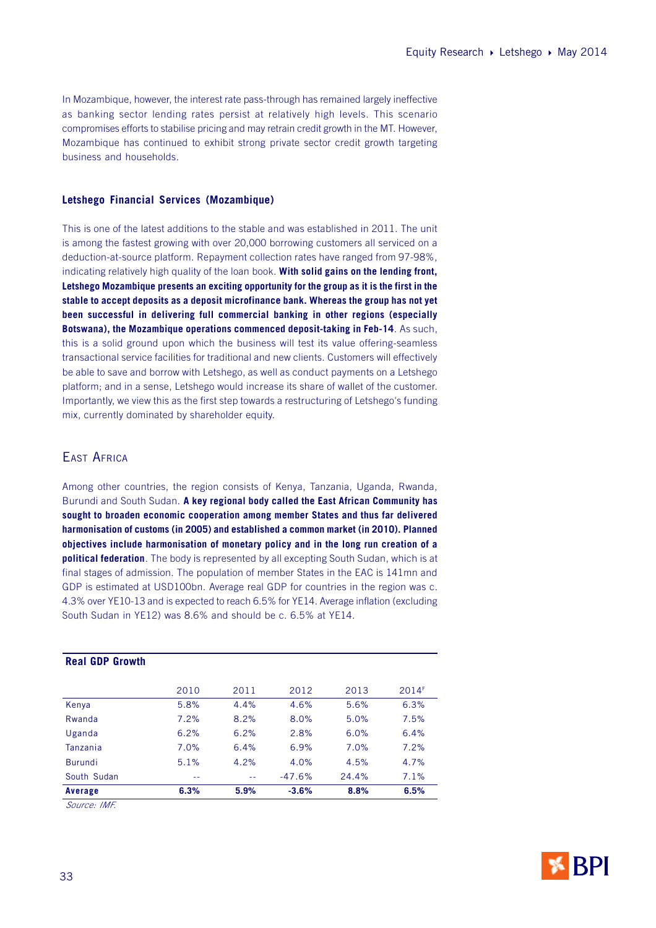In Mozambique, however, the interest rate pass-through has remained largely ineffective as banking sector lending rates persist at relatively high levels. This scenario compromises efforts to stabilise pricing and may retrain credit growth in the MT. However, Mozambique has continued to exhibit strong private sector credit growth targeting business and households.

#### **Letshego Financial Services (Mozambique)**

This is one of the latest additions to the stable and was established in 2011. The unit is among the fastest growing with over 20,000 borrowing customers all serviced on a deduction-at-source platform. Repayment collection rates have ranged from 97-98%, indicating relatively high quality of the loan book. **With solid gains on the lending front, Letshego Mozambique presents an exciting opportunity for the group as it is the first in the stable to accept deposits as a deposit microfinance bank. Whereas the group has not yet been successful in delivering full commercial banking in other regions (especially Botswana), the Mozambique operations commenced deposit-taking in Feb-14**. As such, this is a solid ground upon which the business will test its value offering-seamless transactional service facilities for traditional and new clients. Customers will effectively be able to save and borrow with Letshego, as well as conduct payments on a Letshego platform; and in a sense, Letshego would increase its share of wallet of the customer. Importantly, we view this as the first step towards a restructuring of Letshego's funding mix, currently dominated by shareholder equity.

## EAST AFRICA

Among other countries, the region consists of Kenya, Tanzania, Uganda, Rwanda, Burundi and South Sudan. **A key regional body called the East African Community has sought to broaden economic cooperation among member States and thus far delivered harmonisation of customs (in 2005) and established a common market (in 2010). Planned objectives include harmonisation of monetary policy and in the long run creation of a political federation**. The body is represented by all excepting South Sudan, which is at final stages of admission. The population of member States in the EAC is 141mn and GDP is estimated at USD100bn. Average real GDP for countries in the region was c. 4.3% over YE10-13 and is expected to reach 6.5% for YE14. Average inflation (excluding South Sudan in YE12) was 8.6% and should be c. 6.5% at YE14.

| Average                | 6.3% | 5.9% | $-3.6%$  | 8.8%  | 6.5%  |
|------------------------|------|------|----------|-------|-------|
| South Sudan            | $ -$ | $ -$ | $-47.6%$ | 24.4% | 7.1%  |
| <b>Burundi</b>         | 5.1% | 4.2% | 4.0%     | 4.5%  | 4.7%  |
| Tanzania               | 7.0% | 6.4% | 6.9%     | 7.0%  | 7.2%  |
| Uganda                 | 6.2% | 6.2% | 2.8%     | 6.0%  | 6.4%  |
| Rwanda                 | 7.2% | 8.2% | 8.0%     | 5.0%  | 7.5%  |
| Kenya                  | 5.8% | 4.4% | 4.6%     | 5.6%  | 6.3%  |
|                        | 2010 | 2011 | 2012     | 2013  | 2014F |
| <b>Real GDP Growth</b> |      |      |          |       |       |
|                        |      |      |          |       |       |

Source: IMF.

**Real GDP Growth**

![](_page_32_Picture_8.jpeg)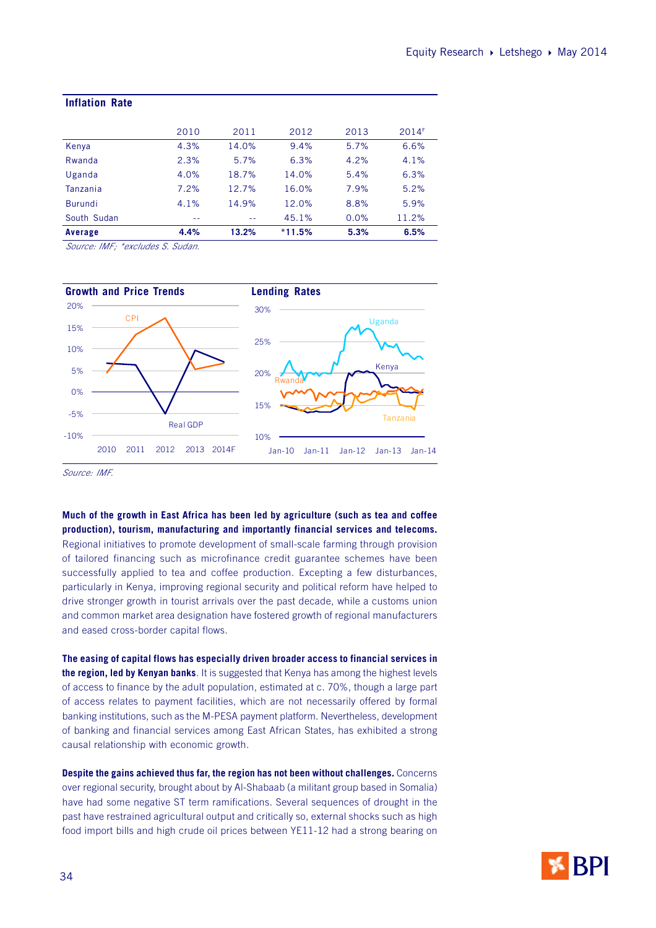| <b>Inflation Rate</b>      |      |       |          |      |       |
|----------------------------|------|-------|----------|------|-------|
|                            |      |       |          |      |       |
|                            | 2010 | 2011  | 2012     | 2013 | 2014F |
| Kenya                      | 4.3% | 14.0% | 9.4%     | 5.7% | 6.6%  |
| Rwanda                     | 2.3% | 5.7%  | 6.3%     | 4.2% | 4.1%  |
| Uganda                     | 4.0% | 18.7% | 14.0%    | 5.4% | 6.3%  |
| Tanzania                   | 7.2% | 12.7% | 16.0%    | 7.9% | 5.2%  |
| <b>Burundi</b>             | 4.1% | 14.9% | 12.0%    | 8.8% | 5.9%  |
| South Sudan                | --   |       | 45.1%    | 0.0% | 11.2% |
| Average                    | 4.4% | 13.2% | $*11.5%$ | 5.3% | 6.5%  |
| Course IME tovaludge Cudan |      |       |          |      |       |

Source: IMF; \*excludes S. Sudan.

![](_page_33_Figure_3.jpeg)

Source: IMF.

**Much of the growth in East Africa has been led by agriculture (such as tea and coffee production), tourism, manufacturing and importantly financial services and telecoms.** Regional initiatives to promote development of small-scale farming through provision of tailored financing such as microfinance credit guarantee schemes have been successfully applied to tea and coffee production. Excepting a few disturbances, particularly in Kenya, improving regional security and political reform have helped to drive stronger growth in tourist arrivals over the past decade, while a customs union and common market area designation have fostered growth of regional manufacturers and eased cross-border capital flows.

**The easing of capital flows has especially driven broader access to financial services in the region, led by Kenyan banks**. It is suggested that Kenya has among the highest levels of access to finance by the adult population, estimated at c. 70%, though a large part of access relates to payment facilities, which are not necessarily offered by formal banking institutions, such as the M-PESA payment platform. Nevertheless, development of banking and financial services among East African States, has exhibited a strong causal relationship with economic growth.

**Despite the gains achieved thus far, the region has not been without challenges.** Concerns over regional security, brought about by Al-Shabaab (a militant group based in Somalia) have had some negative ST term ramifications. Several sequences of drought in the past have restrained agricultural output and critically so, external shocks such as high food import bills and high crude oil prices between YE11-12 had a strong bearing on

![](_page_33_Picture_8.jpeg)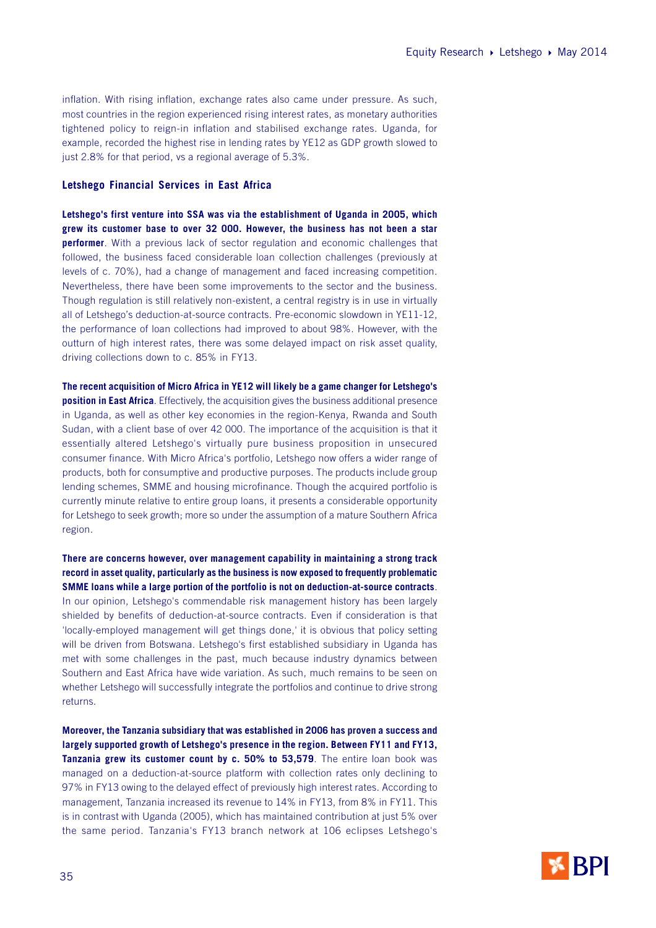inflation. With rising inflation, exchange rates also came under pressure. As such, most countries in the region experienced rising interest rates, as monetary authorities tightened policy to reign-in inflation and stabilised exchange rates. Uganda, for example, recorded the highest rise in lending rates by YE12 as GDP growth slowed to just 2.8% for that period, vs a regional average of 5.3%.

#### **Letshego Financial Services in East Africa**

**Letshego's first venture into SSA was via the establishment of Uganda in 2005, which grew its customer base to over 32 000. However, the business has not been a star performer**. With a previous lack of sector regulation and economic challenges that followed, the business faced considerable loan collection challenges (previously at levels of c. 70%), had a change of management and faced increasing competition. Nevertheless, there have been some improvements to the sector and the business. Though regulation is still relatively non-existent, a central registry is in use in virtually all of Letshego's deduction-at-source contracts. Pre-economic slowdown in YE11-12, the performance of loan collections had improved to about 98%. However, with the outturn of high interest rates, there was some delayed impact on risk asset quality, driving collections down to c. 85% in FY13.

**The recent acquisition of Micro Africa in YE12 will likely be a game changer for Letshego's position in East Africa**. Effectively, the acquisition gives the business additional presence in Uganda, as well as other key economies in the region-Kenya, Rwanda and South Sudan, with a client base of over 42 000. The importance of the acquisition is that it essentially altered Letshego's virtually pure business proposition in unsecured consumer finance. With Micro Africa's portfolio, Letshego now offers a wider range of products, both for consumptive and productive purposes. The products include group lending schemes, SMME and housing microfinance. Though the acquired portfolio is currently minute relative to entire group loans, it presents a considerable opportunity for Letshego to seek growth; more so under the assumption of a mature Southern Africa region.

**There are concerns however, over management capability in maintaining a strong track record in asset quality, particularly as the business is now exposed to frequently problematic SMME loans while a large portion of the portfolio is not on deduction-at-source contracts**. In our opinion, Letshego's commendable risk management history has been largely shielded by benefits of deduction-at-source contracts. Even if consideration is that 'locally-employed management will get things done,' it is obvious that policy setting will be driven from Botswana. Letshego's first established subsidiary in Uganda has met with some challenges in the past, much because industry dynamics between Southern and East Africa have wide variation. As such, much remains to be seen on whether Letshego will successfully integrate the portfolios and continue to drive strong returns.

**Moreover, the Tanzania subsidiary that was established in 2006 has proven a success and largely supported growth of Letshego's presence in the region. Between FY11 and FY13, Tanzania grew its customer count by c. 50% to 53,579**. The entire loan book was managed on a deduction-at-source platform with collection rates only declining to 97% in FY13 owing to the delayed effect of previously high interest rates. According to management, Tanzania increased its revenue to 14% in FY13, from 8% in FY11. This is in contrast with Uganda (2005), which has maintained contribution at just 5% over the same period. Tanzania's FY13 branch network at 106 eclipses Letshego's

![](_page_34_Picture_7.jpeg)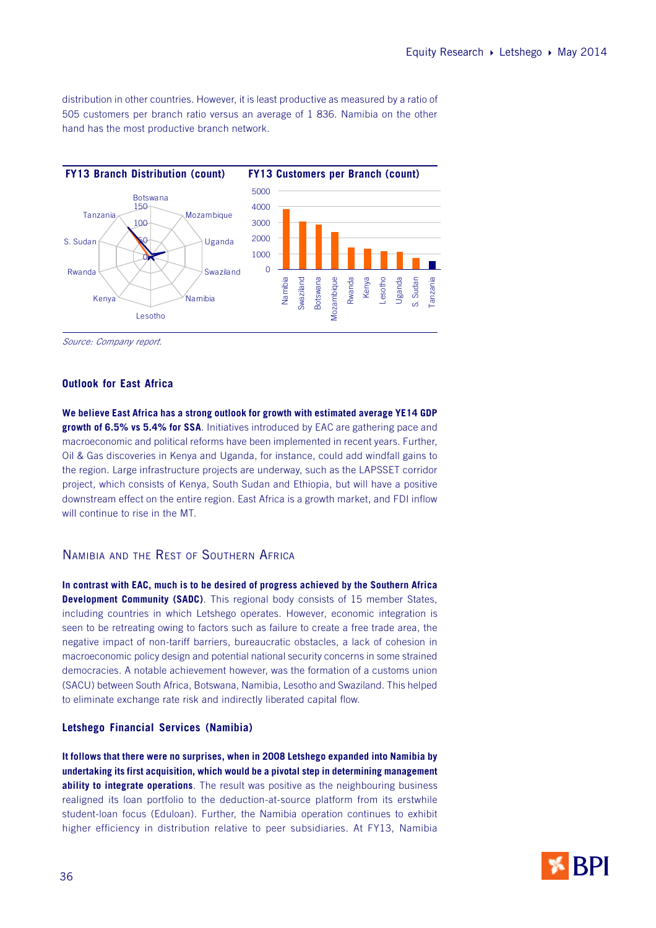distribution in other countries. However, it is least productive as measured by a ratio of 505 customers per branch ratio versus an average of 1 836. Namibia on the other hand has the most productive branch network.

![](_page_35_Figure_2.jpeg)

Source: Company report.

#### **Outlook for East Africa**

**We believe East Africa has a strong outlook for growth with estimated average YE14 GDP growth of 6.5% vs 5.4% for SSA**. Initiatives introduced by EAC are gathering pace and macroeconomic and political reforms have been implemented in recent years. Further, Oil & Gas discoveries in Kenya and Uganda, for instance, could add windfall gains to the region. Large infrastructure projects are underway, such as the LAPSSET corridor project, which consists of Kenya, South Sudan and Ethiopia, but will have a positive downstream effect on the entire region. East Africa is a growth market, and FDI inflow will continue to rise in the MT.

## NAMIBIA AND THE REST OF SOUTHERN AFRICA

**In contrast with EAC, much is to be desired of progress achieved by the Southern Africa Development Community (SADC)**. This regional body consists of 15 member States, including countries in which Letshego operates. However, economic integration is seen to be retreating owing to factors such as failure to create a free trade area, the negative impact of non-tariff barriers, bureaucratic obstacles, a lack of cohesion in macroeconomic policy design and potential national security concerns in some strained democracies. A notable achievement however, was the formation of a customs union (SACU) between South Africa, Botswana, Namibia, Lesotho and Swaziland. This helped to eliminate exchange rate risk and indirectly liberated capital flow.

#### **Letshego Financial Services (Namibia)**

**It follows that there were no surprises, when in 2008 Letshego expanded into Namibia by undertaking its first acquisition, which would be a pivotal step in determining management ability to integrate operations**. The result was positive as the neighbouring business realigned its loan portfolio to the deduction-at-source platform from its erstwhile student-loan focus (Eduloan). Further, the Namibia operation continues to exhibit higher efficiency in distribution relative to peer subsidiaries. At FY13, Namibia

![](_page_35_Picture_10.jpeg)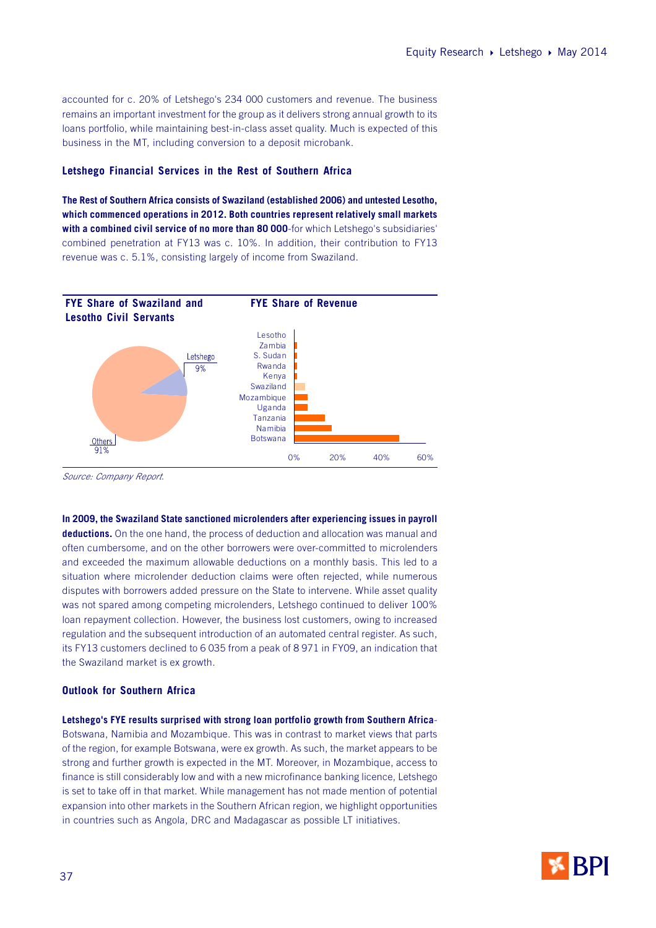accounted for c. 20% of Letshego's 234 000 customers and revenue. The business remains an important investment for the group as it delivers strong annual growth to its loans portfolio, while maintaining best-in-class asset quality. Much is expected of this business in the MT, including conversion to a deposit microbank.

#### **Letshego Financial Services in the Rest of Southern Africa**

**The Rest of Southern Africa consists of Swaziland (established 2006) and untested Lesotho, which commenced operations in 2012. Both countries represent relatively small markets with a combined civil service of no more than 80 000**-for which Letshego's subsidiaries' combined penetration at FY13 was c. 10%. In addition, their contribution to FY13 revenue was c. 5.1%, consisting largely of income from Swaziland.

![](_page_36_Figure_4.jpeg)

Source: Company Report.

#### **In 2009, the Swaziland State sanctioned microlenders after experiencing issues in payroll**

**deductions.** On the one hand, the process of deduction and allocation was manual and often cumbersome, and on the other borrowers were over-committed to microlenders and exceeded the maximum allowable deductions on a monthly basis. This led to a situation where microlender deduction claims were often rejected, while numerous disputes with borrowers added pressure on the State to intervene. While asset quality was not spared among competing microlenders, Letshego continued to deliver 100% loan repayment collection. However, the business lost customers, owing to increased regulation and the subsequent introduction of an automated central register. As such, its FY13 customers declined to 6 035 from a peak of 8 971 in FY09, an indication that the Swaziland market is ex growth.

#### **Outlook for Southern Africa**

#### **Letshego's FYE results surprised with strong loan portfolio growth from Southern Africa**-

Botswana, Namibia and Mozambique. This was in contrast to market views that parts of the region, for example Botswana, were ex growth. As such, the market appears to be strong and further growth is expected in the MT. Moreover, in Mozambique, access to finance is still considerably low and with a new microfinance banking licence, Letshego is set to take off in that market. While management has not made mention of potential expansion into other markets in the Southern African region, we highlight opportunities in countries such as Angola, DRC and Madagascar as possible LT initiatives.

![](_page_36_Picture_11.jpeg)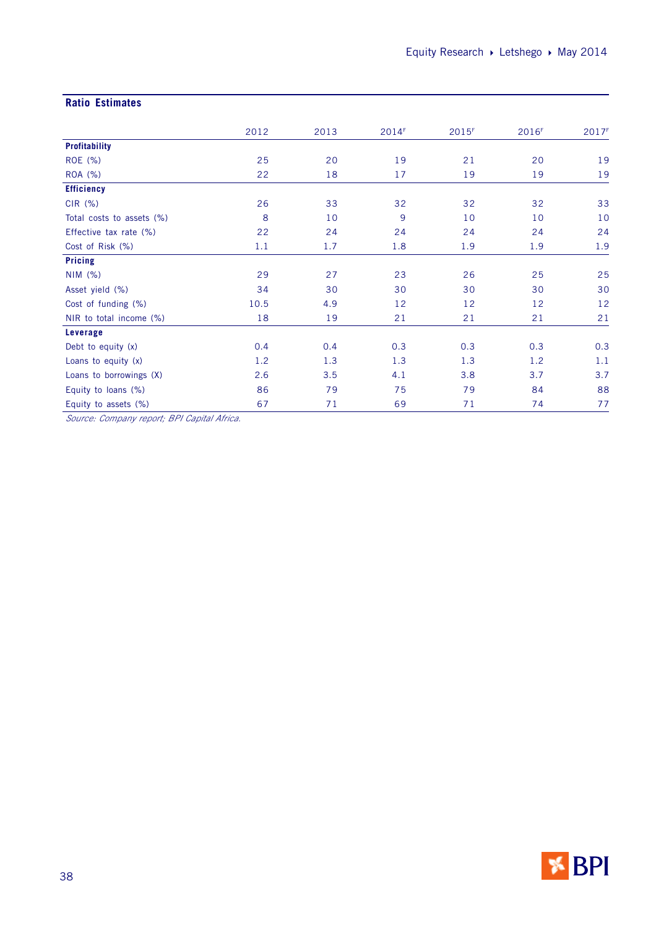## **Ratio Estimates**

|                           | 2012 | 2013 | 2014F | 2015F | 2016F | 2017F |
|---------------------------|------|------|-------|-------|-------|-------|
| <b>Profitability</b>      |      |      |       |       |       |       |
| ROE (%)                   | 25   | 20   | 19    | 21    | 20    | 19    |
| ROA (%)                   | 22   | 18   | 17    | 19    | 19    | 19    |
| <b>Efficiency</b>         |      |      |       |       |       |       |
| $CIR$ $(\%)$              | 26   | 33   | 32    | 32    | 32    | 33    |
| Total costs to assets (%) | 8    | 10   | 9     | 10    | 10    | 10    |
| Effective tax rate (%)    | 22   | 24   | 24    | 24    | 24    | 24    |
| Cost of Risk (%)          | 1.1  | 1.7  | 1.8   | 1.9   | 1.9   | 1.9   |
| <b>Pricing</b>            |      |      |       |       |       |       |
| NIM(%)                    | 29   | 27   | 23    | 26    | 25    | 25    |
| Asset yield (%)           | 34   | 30   | 30    | 30    | 30    | 30    |
| Cost of funding (%)       | 10.5 | 4.9  | 12    | 12    | 12    | 12    |
| NIR to total income (%)   | 18   | 19   | 21    | 21    | 21    | 21    |
| Leverage                  |      |      |       |       |       |       |
| Debt to equity (x)        | 0.4  | 0.4  | 0.3   | 0.3   | 0.3   | 0.3   |
| Loans to equity (x)       | 1.2  | 1.3  | 1.3   | 1.3   | 1.2   | 1.1   |
| Loans to borrowings (X)   | 2.6  | 3.5  | 4.1   | 3.8   | 3.7   | 3.7   |
| Equity to loans (%)       | 86   | 79   | 75    | 79    | 84    | 88    |
| Equity to assets (%)      | 67   | 71   | 69    | 71    | 74    | 77    |

Source: Company report; BPI Capital Africa.

![](_page_37_Picture_4.jpeg)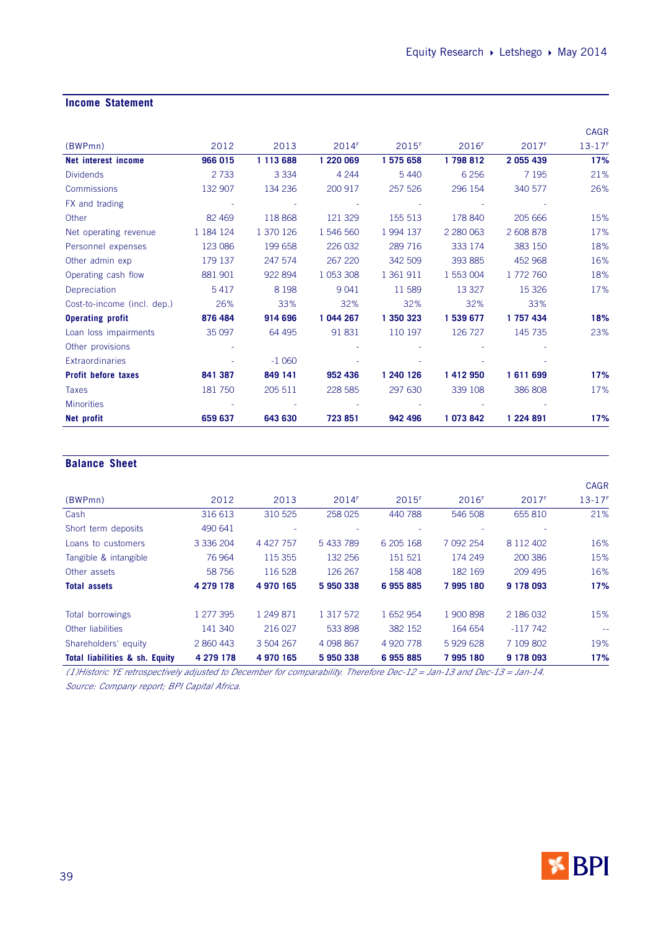## **Income Statement**

|                             |           |           |           |           |                   |           | <b>CAGR</b> |
|-----------------------------|-----------|-----------|-----------|-----------|-------------------|-----------|-------------|
| (BWPmn)                     | 2012      | 2013      | 2014F     | 2015F     | 2016 <sup>F</sup> | 2017F     | $13 - 17F$  |
| Net interest income         | 966 015   | 1 113 688 | 1 220 069 | 1 575 658 | 1798812           | 2 055 439 | 17%         |
| <b>Dividends</b>            | 2733      | 3 3 3 4   | 4 2 4 4   | 5 4 4 0   | 6 2 5 6           | 7 1 9 5   | 21%         |
| <b>Commissions</b>          | 132 907   | 134 236   | 200 917   | 257 526   | 296 154           | 340 577   | 26%         |
| FX and trading              |           |           |           |           |                   |           |             |
| Other                       | 82 4 69   | 118 868   | 121 329   | 155 513   | 178 840           | 205 666   | 15%         |
| Net operating revenue       | 1 184 124 | 1 370 126 | 1 546 560 | 1994 137  | 2 2 8 0 0 6 3     | 2 608 878 | 17%         |
| Personnel expenses          | 123 086   | 199 658   | 226 032   | 289 716   | 333 174           | 383 150   | 18%         |
| Other admin exp             | 179 137   | 247 574   | 267 220   | 342 509   | 393 885           | 452 968   | 16%         |
| Operating cash flow         | 881 901   | 922 894   | 1 053 308 | 1 361 911 | 1 553 004         | 1 772 760 | 18%         |
| Depreciation                | 5417      | 8 1 9 8   | 9 0 4 1   | 11 589    | 13 3 27           | 15 3 26   | 17%         |
| Cost-to-income (incl. dep.) | 26%       | 33%       | 32%       | 32%       | 32%               | 33%       |             |
| <b>Operating profit</b>     | 876 484   | 914 696   | 1 044 267 | 1 350 323 | 1 539 677         | 1 757 434 | 18%         |
| Loan loss impairments       | 35 097    | 64 4 95   | 91 831    | 110 197   | 126 727           | 145 735   | 23%         |
| Other provisions            |           |           |           |           |                   |           |             |
| <b>Extraordinaries</b>      |           | $-1060$   |           |           |                   |           |             |
| <b>Profit before taxes</b>  | 841 387   | 849 141   | 952 436   | 1 240 126 | 1 412 950         | 1611699   | 17%         |
| <b>Taxes</b>                | 181 750   | 205 511   | 228 585   | 297 630   | 339 108           | 386 808   | 17%         |
| <b>Minorities</b>           |           |           |           |           |                   |           |             |
| Net profit                  | 659 637   | 643 630   | 723851    | 942 496   | 1 073 842         | 1 224 891 | 17%         |

## **Balance Sheet**

|                                           |               |           |             |                     |                   |                   | <b>CAGR</b> |
|-------------------------------------------|---------------|-----------|-------------|---------------------|-------------------|-------------------|-------------|
| (BWPmn)                                   | 2012          | 2013      | 2014F       | $2015$ <sup>F</sup> | 2016 <sup>F</sup> | 2017 <sup>F</sup> | $13 - 17F$  |
| Cash                                      | 316 613       | 310 525   | 258 025     | 440 788             | 546 508           | 655 810           | 21%         |
| Short term deposits                       | 490 641       |           |             |                     |                   |                   |             |
| Loans to customers                        | 3 3 3 6 2 0 4 | 4 427 757 | 5 433 789   | 6 205 168           | 7 092 254         | 8 1 1 2 4 0 2     | 16%         |
| Tangible & intangible                     | 76 964        | 115 355   | 132 256     | 151 521             | 174 249           | 200 386           | 15%         |
| Other assets                              | 58 756        | 116 528   | 126 267     | 158 408             | 182 169           | 209 495           | 16%         |
| <b>Total assets</b>                       | 4 279 178     | 4 970 165 | 5950338     | 6955885             | 7 995 180         | 9 178 093         | 17%         |
| Total borrowings                          | 1 277 395     | 1 249 871 | 1 317 572   | 1 652 954           | 1 900 898         | 2 186 032         | 15%         |
| Other liabilities                         | 141 340       | 216 027   | 533 898     | 382 152             | 164 654           | $-117742$         |             |
| Shareholders' equity                      | 2 860 443     | 3 504 267 | 4 0 98 8 67 | 4 920 778           | 5929628           | 7 109 802         | 19%         |
| <b>Total liabilities &amp; sh. Equity</b> | 4 279 178     | 4 970 165 | 5 950 338   | 6955885             | 7 995 180         | 9 178 093         | 17%         |

(1)Historic YE retrospectively adjusted to December for comparability. Therefore Dec-12 = Jan-13 and Dec-13 = Jan-14. Source: Company report; BPI Capital Africa.

![](_page_38_Picture_6.jpeg)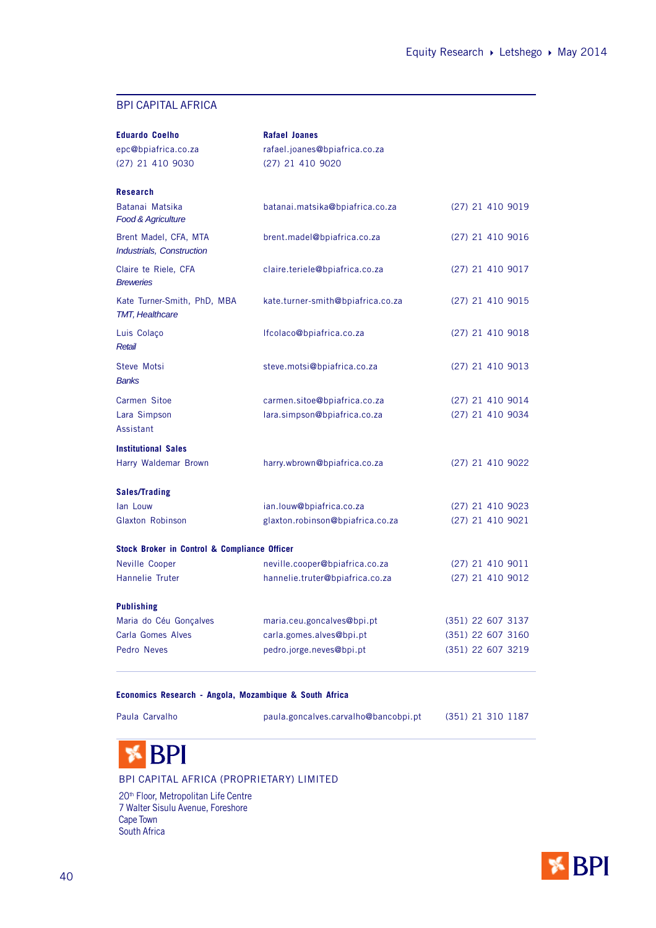## BPI CAPITAL AFRICA

| <b>Eduardo Coelho</b>                                   | <b>Rafael Joanes</b>              |                    |
|---------------------------------------------------------|-----------------------------------|--------------------|
| epc@bpiafrica.co.za                                     | rafael.joanes@bpiafrica.co.za     |                    |
| (27) 21 410 9030                                        | (27) 21 410 9020                  |                    |
| <b>Research</b>                                         |                                   |                    |
| Batanai Matsika<br><b>Food &amp; Agriculture</b>        | batanai.matsika@bpiafrica.co.za   | $(27)$ 21 410 9019 |
| Brent Madel, CFA, MTA<br>Industrials, Construction      | brent.madel@bpiafrica.co.za       | $(27)$ 21 410 9016 |
| Claire te Riele, CFA<br><b>Breweries</b>                | claire.teriele@bpiafrica.co.za    | (27) 21 410 9017   |
| Kate Turner-Smith, PhD, MBA<br><b>TMT, Healthcare</b>   | kate.turner-smith@bpiafrica.co.za | (27) 21 410 9015   |
| Luis Colaço<br>Retail                                   | Ifcolaco@bpiafrica.co.za          | (27) 21 410 9018   |
| Steve Motsi<br><b>Banks</b>                             | steve.motsi@bpiafrica.co.za       | $(27)$ 21 410 9013 |
| Carmen Sitoe                                            | carmen.sitoe@bpiafrica.co.za      | $(27)$ 21 410 9014 |
| Lara Simpson<br>Assistant                               | lara.simpson@bpiafrica.co.za      | (27) 21 410 9034   |
| <b>Institutional Sales</b>                              |                                   |                    |
| Harry Waldemar Brown                                    | harry.wbrown@bpiafrica.co.za      | (27) 21 410 9022   |
| <b>Sales/Trading</b>                                    |                                   |                    |
| lan Louw                                                | ian.louw@bpiafrica.co.za          | $(27)$ 21 410 9023 |
| <b>Glaxton Robinson</b>                                 | glaxton.robinson@bpiafrica.co.za  | $(27)$ 21 410 9021 |
| <b>Stock Broker in Control &amp; Compliance Officer</b> |                                   |                    |
| Neville Cooper                                          | neville.cooper@bpiafrica.co.za    | $(27)$ 21 410 9011 |
| Hannelie Truter                                         | hannelie.truter@bpiafrica.co.za   | (27) 21 410 9012   |
| <b>Publishing</b>                                       |                                   |                    |
| Maria do Céu Gonçalves                                  | maria.ceu.goncalves@bpi.pt        | (351) 22 607 3137  |
| <b>Carla Gomes Alves</b>                                | carla.gomes.alves@bpi.pt          | (351) 22 607 3160  |
| Pedro Neves                                             | pedro.jorge.neves@bpi.pt          | (351) 22 607 3219  |

## **Economics Research - Angola, Mozambique & South Africa**

Paula Carvalho paula.goncalves.carvalho@bancobpi.pt (351) 21 310 1187

## **BPI**

#### BPI CAPITAL AFRICA (PROPRIETARY) LIMITED

20<sup>th</sup> Floor, Metropolitan Life Centre 7 Walter Sisulu Avenue, Foreshore Cape Town South Africa

![](_page_39_Picture_10.jpeg)